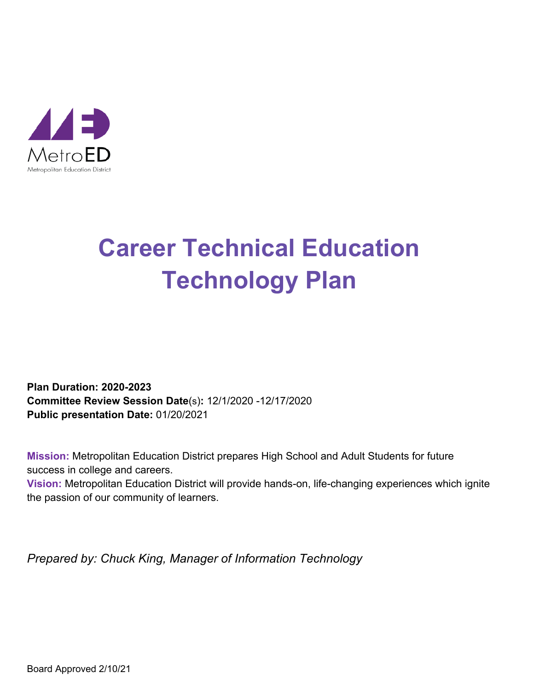

## **Career Technical Education Technology Plan**

**Plan Duration: 2020-2023 Committee Review Session Date**(s)**:** 12/1/2020 -12/17/2020 **Public presentation Date:** 01/20/2021

**Mission:** Metropolitan Education District prepares High School and Adult Students for future success in college and careers.

**Vision:** Metropolitan Education District will provide hands-on, life-changing experiences which ignite the passion of our community of learners.

*Prepared by: Chuck King, Manager of Information Technology*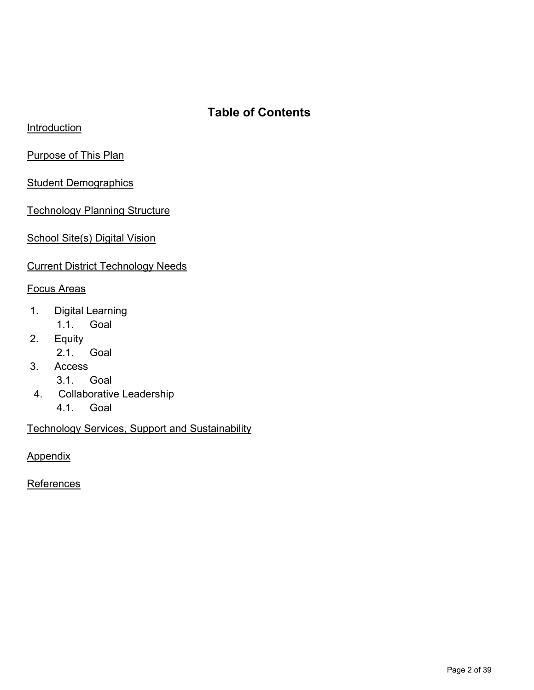## **Table of Contents**

**Introduction** 

Purpose of This Plan

**Student Demographics** 

**Technology Planning Structure** 

School Site(s) Digital Vision

Current District Technology Needs

#### Focus Areas

- 1. Digital Learning
	- 1.1. Goal
- 2. Equity
	- 2.1. Goal
- 3. Access
	- 3.1. Goal
- 4. Collaborative Leadership
	- 4.1. Goal

Technology Services, Support and Sustainability

**Appendix** 

**References**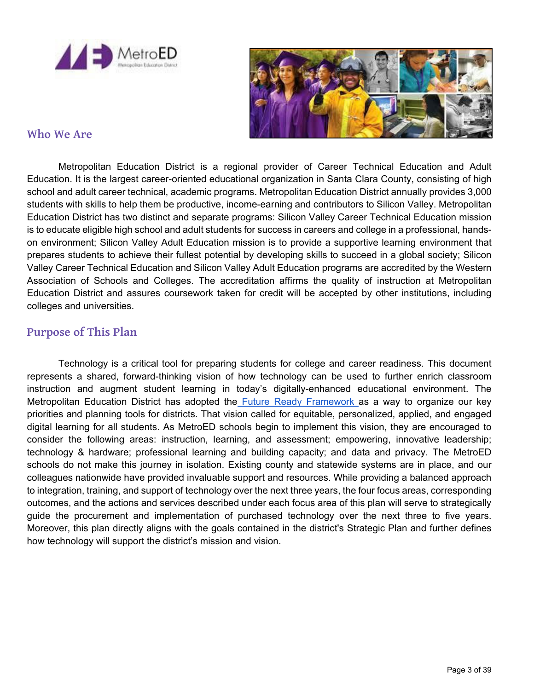



#### **Who We Are**

Metropolitan Education District is a regional provider of Career Technical Education and Adult Education. It is the largest career-oriented educational organization in Santa Clara County, consisting of high school and adult career technical, academic programs. Metropolitan Education District annually provides 3,000 students with skills to help them be productive, income-earning and contributors to Silicon Valley. Metropolitan Education District has two distinct and separate programs: Silicon Valley Career Technical Education mission is to educate eligible high school and adult students for success in careers and college in a professional, handson environment; Silicon Valley Adult Education mission is to provide a supportive learning environment that prepares students to achieve their fullest potential by developing skills to succeed in a global society; Silicon Valley Career Technical Education and Silicon Valley Adult Education programs are accredited by the Western Association of Schools and Colleges. The accreditation affirms the quality of instruction at Metropolitan Education District and assures coursework taken for credit will be accepted by other institutions, including colleges and universities.

#### **Purpose of This Plan**

Technology is a critical tool for preparing students for college and career readiness. This document represents a shared, forward-thinking vision of how technology can be used to further enrich classroom instruction and augment student learning in today's digitally-enhanced educational environment. The Metropolitan Education District has adopted the Future Ready Framework as a way to organize our key priorities and planning tools for districts. That vision called for equitable, personalized, applied, and engaged digital learning for all students. As MetroED schools begin to implement this vision, they are encouraged to consider the following areas: instruction, learning, and assessment; empowering, innovative leadership; technology & hardware; professional learning and building capacity; and data and privacy. The MetroED schools do not make this journey in isolation. Existing county and statewide systems are in place, and our colleagues nationwide have provided invaluable support and resources. While providing a balanced approach to integration, training, and support of technology over the next three years, the four focus areas, corresponding outcomes, and the actions and services described under each focus area of this plan will serve to strategically guide the procurement and implementation of purchased technology over the next three to five years. Moreover, this plan directly aligns with the goals contained in the district's Strategic Plan and further defines how technology will support the district's mission and vision.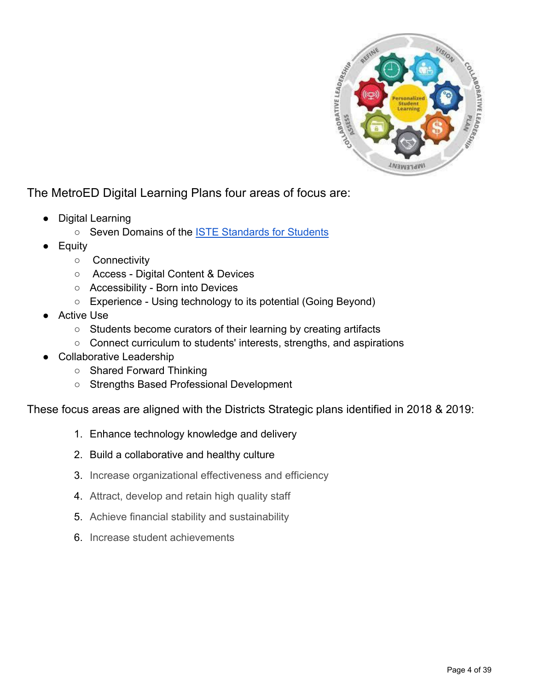

The MetroED Digital Learning Plans four areas of focus are:

- **Digital Learning** 
	- o Seven Domains of the **ISTE Standards for Students**
- **Equity** 
	- Connectivity
	- Access Digital Content & Devices
	- Accessibility Born into Devices
	- Experience Using technology to its potential (Going Beyond)
- **Active Use** 
	- Students become curators of their learning by creating artifacts
	- Connect curriculum to students' interests, strengths, and aspirations
- **Collaborative Leadership** 
	- Shared Forward Thinking
	- Strengths Based Professional Development

These focus areas are aligned with the Districts Strategic plans identified in 2018 & 2019:

- 1. Enhance technology knowledge and delivery
- 2. Build a collaborative and healthy culture
- 3. Increase organizational effectiveness and efficiency
- 4. Attract, develop and retain high quality staff
- 5. Achieve financial stability and sustainability
- 6. Increase student achievements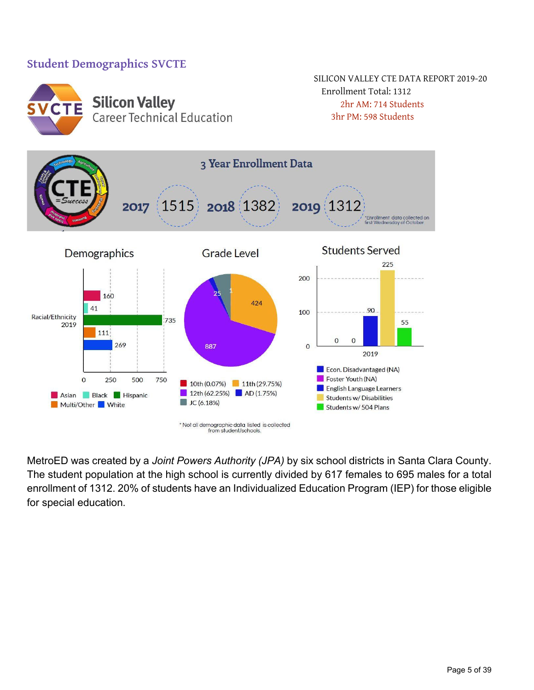#### **Student Demographics SVCTE**



MetroED was created by a *Joint Powers Authority (JPA)* by six school districts in Santa Clara County. The student population at the high school is currently divided by 617 females to 695 males for a total enrollment of 1312. 20% of students have an Individualized Education Program (IEP) for those eligible for special education.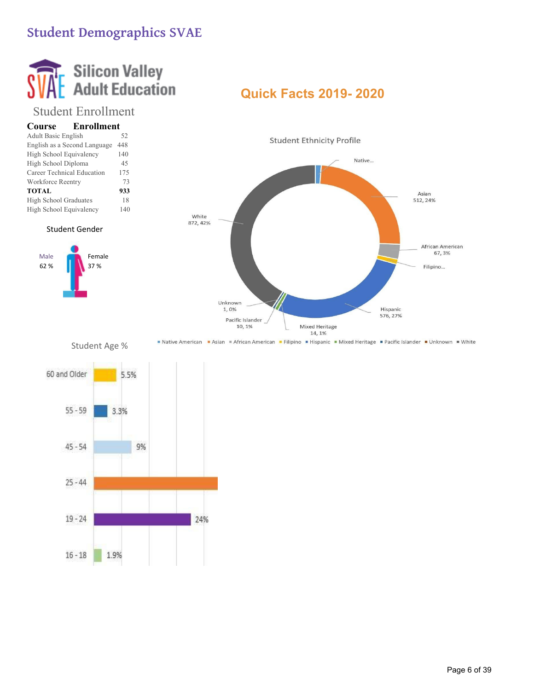## **Student Demographics SVAE**

# **Silicon Valley<br>Adult Education**

## Student Enrollment

| <b>Enrollment</b><br>Course  |     |
|------------------------------|-----|
| <b>Adult Basic English</b>   | 52  |
| English as a Second Language | 448 |
| High School Equivalency      | 140 |
| High School Diploma          | 45  |
| Career Technical Education   | 175 |
| Workforce Reentry            | 73  |
| <b>TOTAL</b>                 | 933 |
| High School Graduates        | 18  |
| High School Equivalency      | 140 |

Student Gender

Male *M* Female 62 % 37 %

## **Quick Facts 2019- 2020**



■ Native American ■ Asian ■ African American ■ Filipino ■ Hispanic ■ Mixed Heritage ■ Pacific Islander ■ Unknown ■ White

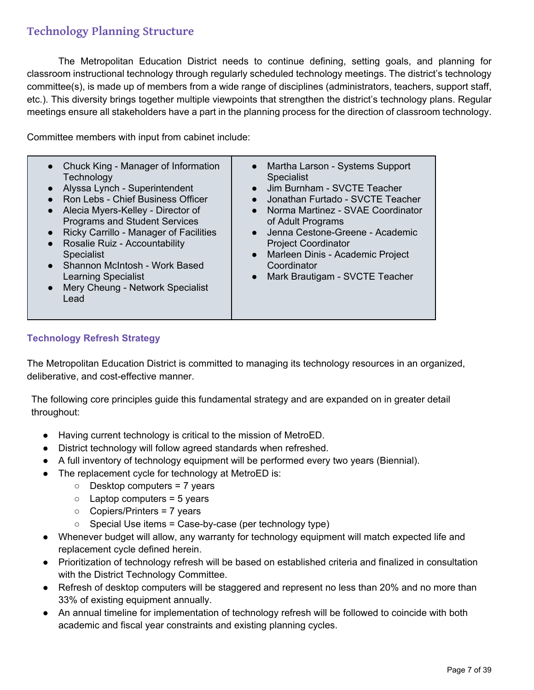## **Technology Planning Structure**

The Metropolitan Education District needs to continue defining, setting goals, and planning for classroom instructional technology through regularly scheduled technology meetings. The district's technology committee(s), is made up of members from a wide range of disciplines (administrators, teachers, support staff, etc.). This diversity brings together multiple viewpoints that strengthen the district's technology plans. Regular meetings ensure all stakeholders have a part in the planning process for the direction of classroom technology.

Committee members with input from cabinet include:

| Chuck King - Manager of Information<br>Technology<br>Alyssa Lynch - Superintendent<br>Ron Lebs - Chief Business Officer<br>Alecia Myers-Kelley - Director of<br>$\bullet$<br><b>Programs and Student Services</b><br>Ricky Carrillo - Manager of Facilities<br>Rosalie Ruiz - Accountability<br>$\bullet$<br><b>Specialist</b><br>Shannon McIntosh - Work Based<br>$\bullet$<br><b>Learning Specialist</b><br>Mery Cheung - Network Specialist<br>Lead | Martha Larson - Systems Support<br>$\bullet$<br>Specialist<br>Jim Burnham - SVCTE Teacher<br>$\bullet$<br>Jonathan Furtado - SVCTE Teacher<br>Norma Martinez - SVAE Coordinator<br>$\bullet$<br>of Adult Programs<br>Jenna Cestone-Greene - Academic<br>$\bullet$<br><b>Project Coordinator</b><br>Marleen Dinis - Academic Project<br>$\bullet$<br>Coordinator<br>Mark Brautigam - SVCTE Teacher<br>$\bullet$ |
|--------------------------------------------------------------------------------------------------------------------------------------------------------------------------------------------------------------------------------------------------------------------------------------------------------------------------------------------------------------------------------------------------------------------------------------------------------|----------------------------------------------------------------------------------------------------------------------------------------------------------------------------------------------------------------------------------------------------------------------------------------------------------------------------------------------------------------------------------------------------------------|
|--------------------------------------------------------------------------------------------------------------------------------------------------------------------------------------------------------------------------------------------------------------------------------------------------------------------------------------------------------------------------------------------------------------------------------------------------------|----------------------------------------------------------------------------------------------------------------------------------------------------------------------------------------------------------------------------------------------------------------------------------------------------------------------------------------------------------------------------------------------------------------|

#### **Technology Refresh Strategy**

The Metropolitan Education District is committed to managing its technology resources in an organized, deliberative, and cost-effective manner.

The following core principles guide this fundamental strategy and are expanded on in greater detail throughout:

- Having current technology is critical to the mission of MetroED.
- District technology will follow agreed standards when refreshed.
- A full inventory of technology equipment will be performed every two years (Biennial).
- The replacement cycle for technology at MetroED is:
	- Desktop computers = 7 years
	- $\circ$  Laptop computers = 5 years
	- Copiers/Printers = 7 years
	- $\circ$  Special Use items = Case-by-case (per technology type)
- Whenever budget will allow, any warranty for technology equipment will match expected life and replacement cycle defined herein.
- Prioritization of technology refresh will be based on established criteria and finalized in consultation with the District Technology Committee.
- Refresh of desktop computers will be staggered and represent no less than 20% and no more than 33% of existing equipment annually.
- An annual timeline for implementation of technology refresh will be followed to coincide with both academic and fiscal year constraints and existing planning cycles.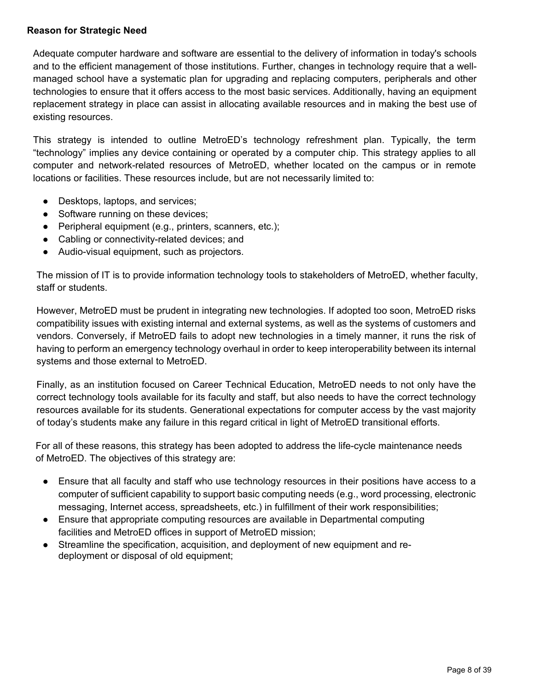#### **Reason for Strategic Need**

Adequate computer hardware and software are essential to the delivery of information in today's schools and to the efficient management of those institutions. Further, changes in technology require that a wellmanaged school have a systematic plan for upgrading and replacing computers, peripherals and other technologies to ensure that it offers access to the most basic services. Additionally, having an equipment replacement strategy in place can assist in allocating available resources and in making the best use of existing resources.

This strategy is intended to outline MetroED's technology refreshment plan. Typically, the term "technology" implies any device containing or operated by a computer chip. This strategy applies to all computer and network-related resources of MetroED, whether located on the campus or in remote locations or facilities. These resources include, but are not necessarily limited to:

- Desktops, laptops, and services;
- Software running on these devices;
- Peripheral equipment (e.g., printers, scanners, etc.);
- Cabling or connectivity-related devices; and
- Audio-visual equipment, such as projectors.

The mission of IT is to provide information technology tools to stakeholders of MetroED, whether faculty, staff or students.

However, MetroED must be prudent in integrating new technologies. If adopted too soon, MetroED risks compatibility issues with existing internal and external systems, as well as the systems of customers and vendors. Conversely, if MetroED fails to adopt new technologies in a timely manner, it runs the risk of having to perform an emergency technology overhaul in order to keep interoperability between its internal systems and those external to MetroED.

Finally, as an institution focused on Career Technical Education, MetroED needs to not only have the correct technology tools available for its faculty and staff, but also needs to have the correct technology resources available for its students. Generational expectations for computer access by the vast majority of today's students make any failure in this regard critical in light of MetroED transitional efforts.

For all of these reasons, this strategy has been adopted to address the life-cycle maintenance needs of MetroED. The objectives of this strategy are:

- Ensure that all faculty and staff who use technology resources in their positions have access to a computer of sufficient capability to support basic computing needs (e.g., word processing, electronic messaging, Internet access, spreadsheets, etc.) in fulfillment of their work responsibilities;
- Ensure that appropriate computing resources are available in Departmental computing facilities and MetroED offices in support of MetroED mission;
- Streamline the specification, acquisition, and deployment of new equipment and redeployment or disposal of old equipment;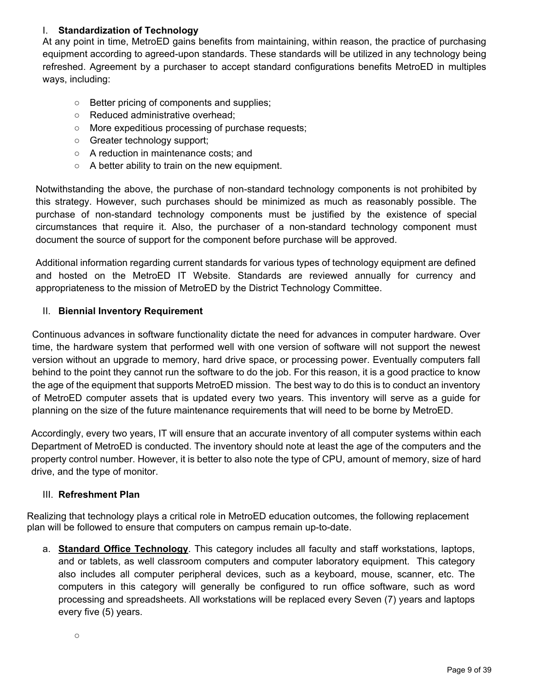#### I. **Standardization of Technology**

At any point in time, MetroED gains benefits from maintaining, within reason, the practice of purchasing equipment according to agreed-upon standards. These standards will be utilized in any technology being refreshed. Agreement by a purchaser to accept standard configurations benefits MetroED in multiples ways, including:

- Better pricing of components and supplies;
- Reduced administrative overhead;
- More expeditious processing of purchase requests;
- Greater technology support;
- A reduction in maintenance costs; and
- A better ability to train on the new equipment.

Notwithstanding the above, the purchase of non-standard technology components is not prohibited by this strategy. However, such purchases should be minimized as much as reasonably possible. The purchase of non-standard technology components must be justified by the existence of special circumstances that require it. Also, the purchaser of a non-standard technology component must document the source of support for the component before purchase will be approved.

Additional information regarding current standards for various types of technology equipment are defined and hosted on the MetroED IT Website. Standards are reviewed annually for currency and appropriateness to the mission of MetroED by the District Technology Committee.

#### II. **Biennial Inventory Requirement**

Continuous advances in software functionality dictate the need for advances in computer hardware. Over time, the hardware system that performed well with one version of software will not support the newest version without an upgrade to memory, hard drive space, or processing power. Eventually computers fall behind to the point they cannot run the software to do the job. For this reason, it is a good practice to know the age of the equipment that supports MetroED mission. The best way to do this is to conduct an inventory of MetroED computer assets that is updated every two years. This inventory will serve as a guide for planning on the size of the future maintenance requirements that will need to be borne by MetroED.

Accordingly, every two years, IT will ensure that an accurate inventory of all computer systems within each Department of MetroED is conducted. The inventory should note at least the age of the computers and the property control number. However, it is better to also note the type of CPU, amount of memory, size of hard drive, and the type of monitor.

#### III. **Refreshment Plan**

Realizing that technology plays a critical role in MetroED education outcomes, the following replacement plan will be followed to ensure that computers on campus remain up-to-date.

a. **Standard Office Technology**. This category includes all faculty and staff workstations, laptops, and or tablets, as well classroom computers and computer laboratory equipment. This category also includes all computer peripheral devices, such as a keyboard, mouse, scanner, etc. The computers in this category will generally be configured to run office software, such as word processing and spreadsheets. All workstations will be replaced every Seven (7) years and laptops every five (5) years.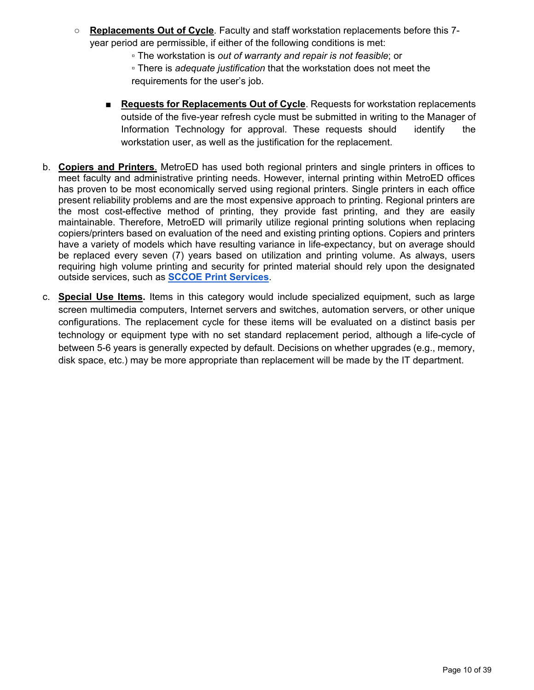- **Replacements Out of Cycle**. Faculty and staff workstation replacements before this 7 year period are permissible, if either of the following conditions is met:
	- The workstation is *out of warranty and repair is not feasible*; or
	- There is *adequate justification* that the workstation does not meet the requirements for the user's job.
	- **Requests for Replacements Out of Cycle**. Requests for workstation replacements outside of the five-year refresh cycle must be submitted in writing to the Manager of Information Technology for approval. These requests should identify the workstation user, as well as the justification for the replacement.
- b. **Copiers and Printers**. MetroED has used both regional printers and single printers in offices to meet faculty and administrative printing needs. However, internal printing within MetroED offices has proven to be most economically served using regional printers. Single printers in each office present reliability problems and are the most expensive approach to printing. Regional printers are the most cost-effective method of printing, they provide fast printing, and they are easily maintainable. Therefore, MetroED will primarily utilize regional printing solutions when replacing copiers/printers based on evaluation of the need and existing printing options. Copiers and printers have a variety of models which have resulting variance in life-expectancy, but on average should be replaced every seven (7) years based on utilization and printing volume. As always, users requiring high volume printing and security for printed material should rely upon the designated outside services, such as **SCCOE Print Services**.
- c. **Special Use Items.** Items in this category would include specialized equipment, such as large screen multimedia computers, Internet servers and switches, automation servers, or other unique configurations. The replacement cycle for these items will be evaluated on a distinct basis per technology or equipment type with no set standard replacement period, although a life-cycle of between 5-6 years is generally expected by default. Decisions on whether upgrades (e.g., memory, disk space, etc.) may be more appropriate than replacement will be made by the IT department.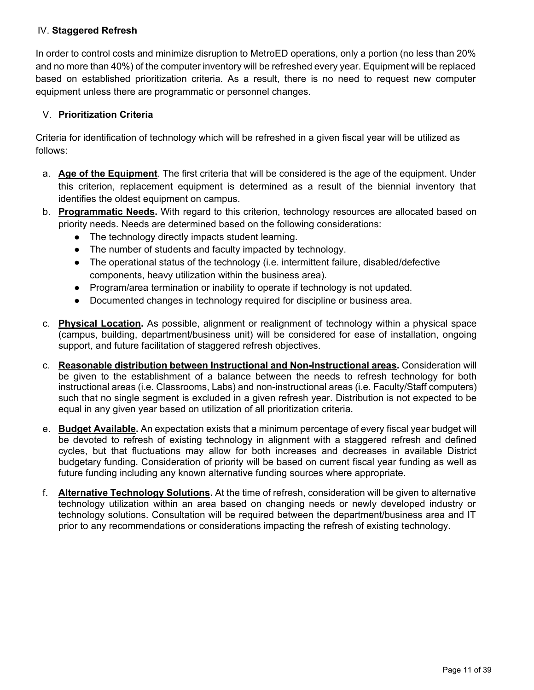#### IV. **Staggered Refresh**

In order to control costs and minimize disruption to MetroED operations, only a portion (no less than 20% and no more than 40%) of the computer inventory will be refreshed every year. Equipment will be replaced based on established prioritization criteria. As a result, there is no need to request new computer equipment unless there are programmatic or personnel changes.

#### V. **Prioritization Criteria**

Criteria for identification of technology which will be refreshed in a given fiscal year will be utilized as follows:

- a. **Age of the Equipment**. The first criteria that will be considered is the age of the equipment. Under this criterion, replacement equipment is determined as a result of the biennial inventory that identifies the oldest equipment on campus.
- b. **Programmatic Needs.** With regard to this criterion, technology resources are allocated based on priority needs. Needs are determined based on the following considerations:
	- The technology directly impacts student learning.
	- The number of students and faculty impacted by technology.
	- The operational status of the technology (i.e. intermittent failure, disabled/defective components, heavy utilization within the business area).
	- Program/area termination or inability to operate if technology is not updated.
	- Documented changes in technology required for discipline or business area.
- c. **Physical Location.** As possible, alignment or realignment of technology within a physical space (campus, building, department/business unit) will be considered for ease of installation, ongoing support, and future facilitation of staggered refresh objectives.
- c. **Reasonable distribution between Instructional and Non-Instructional areas.** Consideration will be given to the establishment of a balance between the needs to refresh technology for both instructional areas (i.e. Classrooms, Labs) and non-instructional areas (i.e. Faculty/Staff computers) such that no single segment is excluded in a given refresh year. Distribution is not expected to be equal in any given year based on utilization of all prioritization criteria.
- e. **Budget Available.** An expectation exists that a minimum percentage of every fiscal year budget will be devoted to refresh of existing technology in alignment with a staggered refresh and defined cycles, but that fluctuations may allow for both increases and decreases in available District budgetary funding. Consideration of priority will be based on current fiscal year funding as well as future funding including any known alternative funding sources where appropriate.
- f. **Alternative Technology Solutions.** At the time of refresh, consideration will be given to alternative technology utilization within an area based on changing needs or newly developed industry or technology solutions. Consultation will be required between the department/business area and IT prior to any recommendations or considerations impacting the refresh of existing technology.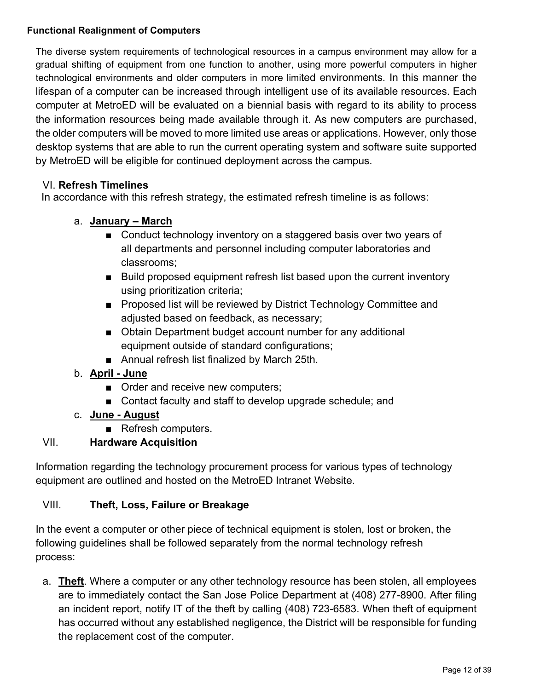#### **Functional Realignment of Computers**

The diverse system requirements of technological resources in a campus environment may allow for a gradual shifting of equipment from one function to another, using more powerful computers in higher technological environments and older computers in more limited environments. In this manner the lifespan of a computer can be increased through intelligent use of its available resources. Each computer at MetroED will be evaluated on a biennial basis with regard to its ability to process the information resources being made available through it. As new computers are purchased, the older computers will be moved to more limited use areas or applications. However, only those desktop systems that are able to run the current operating system and software suite supported by MetroED will be eligible for continued deployment across the campus.

#### VI. **Refresh Timelines**

In accordance with this refresh strategy, the estimated refresh timeline is as follows:

#### a. **January – March**

- Conduct technology inventory on a staggered basis over two years of all departments and personnel including computer laboratories and classrooms;
- Build proposed equipment refresh list based upon the current inventory using prioritization criteria;
- Proposed list will be reviewed by District Technology Committee and adjusted based on feedback, as necessary;
- Obtain Department budget account number for any additional equipment outside of standard configurations;
- Annual refresh list finalized by March 25th.
- b. **April June**
	- Order and receive new computers;
	- Contact faculty and staff to develop upgrade schedule; and
- c. **June August**
	- Refresh computers.

#### VII. **Hardware Acquisition**

Information regarding the technology procurement process for various types of technology equipment are outlined and hosted on the MetroED Intranet Website.

#### VIII. **Theft, Loss, Failure or Breakage**

In the event a computer or other piece of technical equipment is stolen, lost or broken, the following guidelines shall be followed separately from the normal technology refresh process:

a. **Theft**. Where a computer or any other technology resource has been stolen, all employees are to immediately contact the San Jose Police Department at (408) 277-8900. After filing an incident report, notify IT of the theft by calling (408) 723-6583. When theft of equipment has occurred without any established negligence, the District will be responsible for funding the replacement cost of the computer.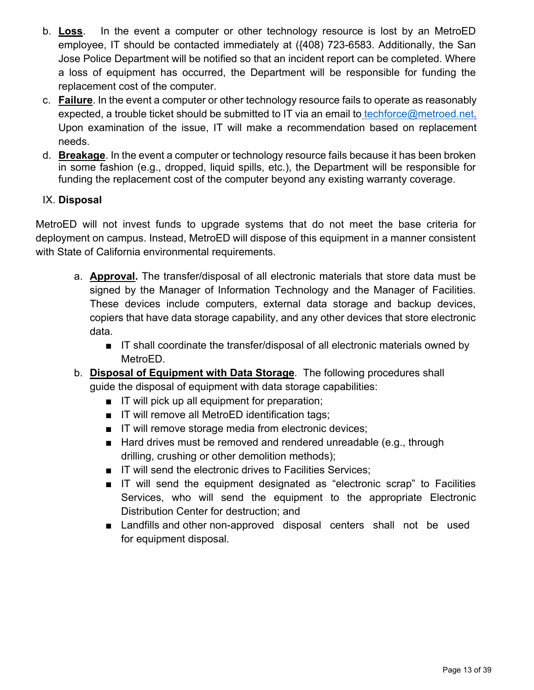- b. **Loss**. In the event a computer or other technology resource is lost by an MetroED employee, IT should be contacted immediately at ({408) 723-6583. Additionally, the San Jose Police Department will be notified so that an incident report can be completed. Where a loss of equipment has occurred, the Department will be responsible for funding the replacement cost of the computer.
- c. **Failure**. In the event a computer or other technology resource fails to operate as reasonably expected, a trouble ticket should be submitted to IT via an email to techforce@metroed.net. Upon examination of the issue, IT will make a recommendation based on replacement needs.
- d. **Breakage**. In the event a computer or technology resource fails because it has been broken in some fashion (e.g., dropped, liquid spills, etc.), the Department will be responsible for funding the replacement cost of the computer beyond any existing warranty coverage.

#### IX. **Disposal**

MetroED will not invest funds to upgrade systems that do not meet the base criteria for deployment on campus. Instead, MetroED will dispose of this equipment in a manner consistent with State of California environmental requirements.

- a. **Approval.** The transfer/disposal of all electronic materials that store data must be signed by the Manager of Information Technology and the Manager of Facilities. These devices include computers, external data storage and backup devices, copiers that have data storage capability, and any other devices that store electronic data.
	- IT shall coordinate the transfer/disposal of all electronic materials owned by MetroED.
- b. **Disposal of Equipment with Data Storage**. The following procedures shall guide the disposal of equipment with data storage capabilities:
	- IT will pick up all equipment for preparation;
	- IT will remove all MetroED identification tags;
	- IT will remove storage media from electronic devices;
	- Hard drives must be removed and rendered unreadable (e.g., through drilling, crushing or other demolition methods);
	- IT will send the electronic drives to Facilities Services;
	- IT will send the equipment designated as "electronic scrap" to Facilities Services, who will send the equipment to the appropriate Electronic Distribution Center for destruction; and
	- Landfills and other non-approved disposal centers shall not be used for equipment disposal.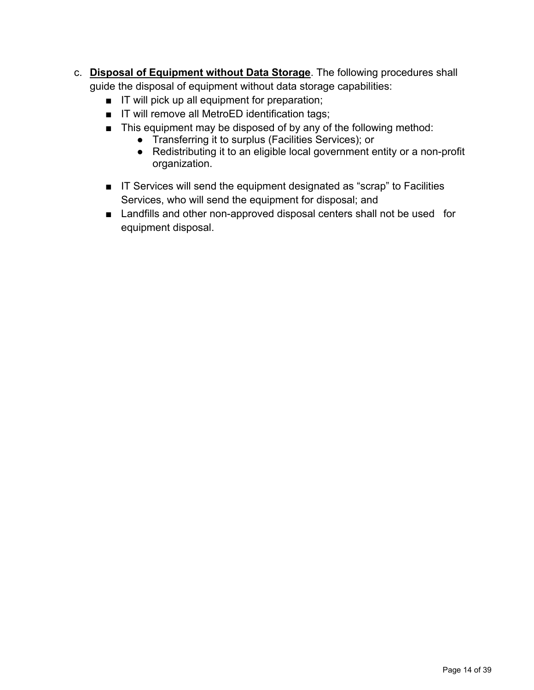- c. **Disposal of Equipment without Data Storage**. The following procedures shall guide the disposal of equipment without data storage capabilities:
	- IT will pick up all equipment for preparation;
	- IT will remove all MetroED identification tags;
	- This equipment may be disposed of by any of the following method:
		- Transferring it to surplus (Facilities Services); or
		- Redistributing it to an eligible local government entity or a non-profit organization.
	- IT Services will send the equipment designated as "scrap" to Facilities Services, who will send the equipment for disposal; and
	- Landfills and other non-approved disposal centers shall not be used for equipment disposal.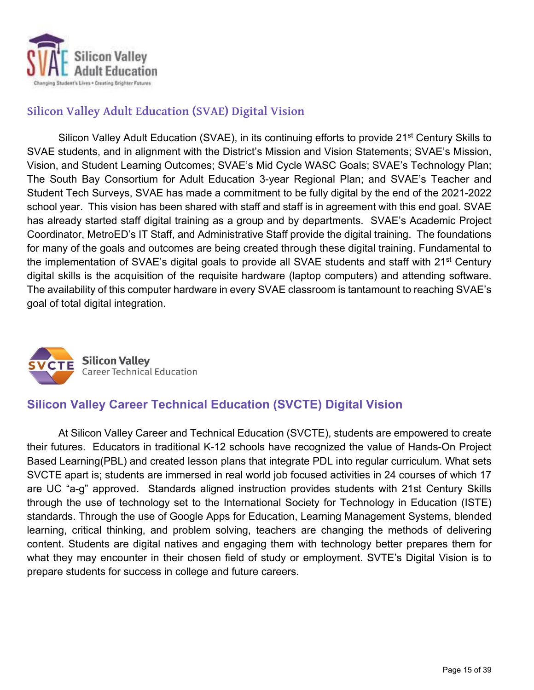

## **Silicon Valley Adult Education (SVAE) Digital Vision**

Silicon Valley Adult Education (SVAE), in its continuing efforts to provide 21<sup>st</sup> Century Skills to SVAE students, and in alignment with the District's Mission and Vision Statements; SVAE's Mission, Vision, and Student Learning Outcomes; SVAE's Mid Cycle WASC Goals; SVAE's Technology Plan; The South Bay Consortium for Adult Education 3-year Regional Plan; and SVAE's Teacher and Student Tech Surveys, SVAE has made a commitment to be fully digital by the end of the 2021-2022 school year. This vision has been shared with staff and staff is in agreement with this end goal. SVAE has already started staff digital training as a group and by departments. SVAE's Academic Project Coordinator, MetroED's IT Staff, and Administrative Staff provide the digital training. The foundations for many of the goals and outcomes are being created through these digital training. Fundamental to the implementation of SVAE's digital goals to provide all SVAE students and staff with 21<sup>st</sup> Century digital skills is the acquisition of the requisite hardware (laptop computers) and attending software. The availability of this computer hardware in every SVAE classroom is tantamount to reaching SVAE's goal of total digital integration.



## **Silicon Valley Career Technical Education (SVCTE) Digital Vision**

 At Silicon Valley Career and Technical Education (SVCTE), students are empowered to create their futures. Educators in traditional K-12 schools have recognized the value of Hands-On Project Based Learning(PBL) and created lesson plans that integrate PDL into regular curriculum. What sets SVCTE apart is; students are immersed in real world job focused activities in 24 courses of which 17 are UC "a-g" approved. Standards aligned instruction provides students with 21st Century Skills through the use of technology set to the International Society for Technology in Education (ISTE) standards. Through the use of Google Apps for Education, Learning Management Systems, blended learning, critical thinking, and problem solving, teachers are changing the methods of delivering content. Students are digital natives and engaging them with technology better prepares them for what they may encounter in their chosen field of study or employment. SVTE's Digital Vision is to prepare students for success in college and future careers.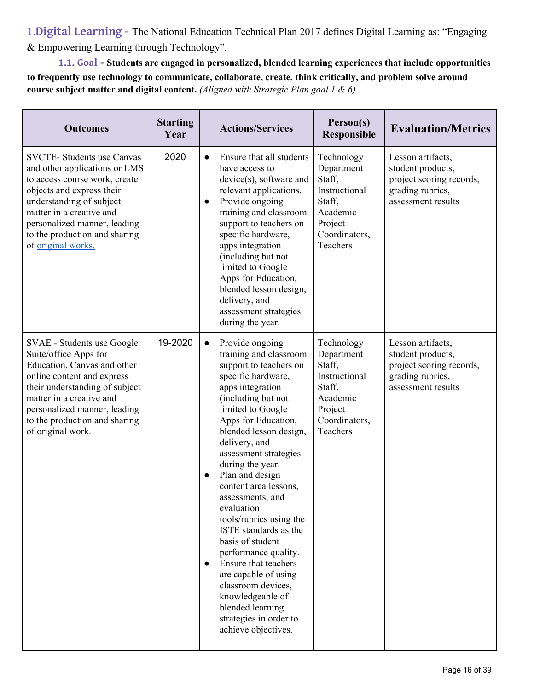1.**Digital Learning -** The National Education Technical Plan 2017 defines Digital Learning as: "Engaging & Empowering Learning through Technology".

**1.1. Goal - Students are engaged in personalized, blended learning experiences that include opportunities to frequently use technology to communicate, collaborate, create, think critically, and problem solve around course subject matter and digital content.** *(Aligned with Strategic Plan goal 1 & 6)*

| <b>Outcomes</b>                                                                                                                                                                                                                                                                 | <b>Starting</b><br>Year |                        | <b>Actions/Services</b>                                                                                                                                                                                                                                                                                                                                                                                                                                                                                                                                                                                              | Person(s)<br><b>Responsible</b>                                                                                   | <b>Evaluation/Metrics</b>                                                                                    |
|---------------------------------------------------------------------------------------------------------------------------------------------------------------------------------------------------------------------------------------------------------------------------------|-------------------------|------------------------|----------------------------------------------------------------------------------------------------------------------------------------------------------------------------------------------------------------------------------------------------------------------------------------------------------------------------------------------------------------------------------------------------------------------------------------------------------------------------------------------------------------------------------------------------------------------------------------------------------------------|-------------------------------------------------------------------------------------------------------------------|--------------------------------------------------------------------------------------------------------------|
| <b>SVCTE-</b> Students use Canvas<br>and other applications or LMS<br>to access course work, create<br>objects and express their<br>understanding of subject<br>matter in a creative and<br>personalized manner, leading<br>to the production and sharing<br>of original works. | 2020                    | $\bullet$<br>$\bullet$ | Ensure that all students<br>have access to<br>device(s), software and<br>relevant applications.<br>Provide ongoing<br>training and classroom<br>support to teachers on<br>specific hardware,<br>apps integration<br>(including but not<br>limited to Google<br>Apps for Education,<br>blended lesson design,<br>delivery, and<br>assessment strategies<br>during the year.                                                                                                                                                                                                                                           | Technology<br>Department<br>Staff,<br>Instructional<br>Staff,<br>Academic<br>Project<br>Coordinators,<br>Teachers | Lesson artifacts,<br>student products,<br>project scoring records,<br>grading rubrics,<br>assessment results |
| SVAE - Students use Google<br>Suite/office Apps for<br>Education, Canvas and other<br>online content and express<br>their understanding of subject<br>matter in a creative and<br>personalized manner, leading<br>to the production and sharing<br>of original work.            | 19-2020                 | $\bullet$<br>$\bullet$ | Provide ongoing<br>training and classroom<br>support to teachers on<br>specific hardware,<br>apps integration<br>(including but not<br>limited to Google<br>Apps for Education,<br>blended lesson design,<br>delivery, and<br>assessment strategies<br>during the year.<br>Plan and design<br>content area lessons,<br>assessments, and<br>evaluation<br>tools/rubrics using the<br>ISTE standards as the<br>basis of student<br>performance quality.<br>Ensure that teachers<br>are capable of using<br>classroom devices,<br>knowledgeable of<br>blended learning<br>strategies in order to<br>achieve objectives. | Technology<br>Department<br>Staff,<br>Instructional<br>Staff,<br>Academic<br>Project<br>Coordinators,<br>Teachers | Lesson artifacts,<br>student products,<br>project scoring records,<br>grading rubrics,<br>assessment results |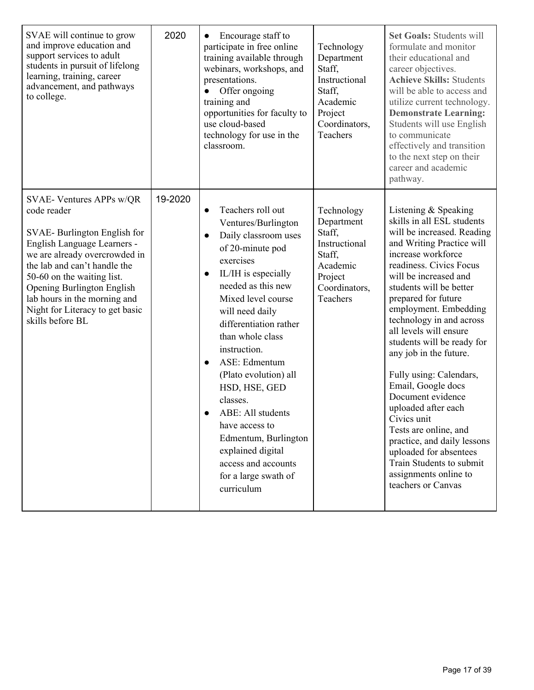| SVAE will continue to grow<br>and improve education and<br>support services to adult<br>students in pursuit of lifelong<br>learning, training, career<br>advancement, and pathways<br>to college.                                                                                                                                | 2020    | Encourage staff to<br>participate in free online<br>training available through<br>webinars, workshops, and<br>presentations.<br>Offer ongoing<br>training and<br>opportunities for faculty to<br>use cloud-based<br>technology for use in the<br>classroom.                                                                                                                                                                                                                                             | Technology<br>Department<br>Staff,<br>Instructional<br>Staff,<br>Academic<br>Project<br>Coordinators,<br><b>Teachers</b> | <b>Set Goals: Students will</b><br>formulate and monitor<br>their educational and<br>career objectives.<br><b>Achieve Skills: Students</b><br>will be able to access and<br>utilize current technology.<br><b>Demonstrate Learning:</b><br>Students will use English<br>to communicate<br>effectively and transition<br>to the next step on their<br>career and academic<br>pathway.                                                                                                                                                                                                                                                                      |
|----------------------------------------------------------------------------------------------------------------------------------------------------------------------------------------------------------------------------------------------------------------------------------------------------------------------------------|---------|---------------------------------------------------------------------------------------------------------------------------------------------------------------------------------------------------------------------------------------------------------------------------------------------------------------------------------------------------------------------------------------------------------------------------------------------------------------------------------------------------------|--------------------------------------------------------------------------------------------------------------------------|-----------------------------------------------------------------------------------------------------------------------------------------------------------------------------------------------------------------------------------------------------------------------------------------------------------------------------------------------------------------------------------------------------------------------------------------------------------------------------------------------------------------------------------------------------------------------------------------------------------------------------------------------------------|
| SVAE- Ventures APPs w/QR<br>code reader<br>SVAE-Burlington English for<br>English Language Learners -<br>we are already overcrowded in<br>the lab and can't handle the<br>50-60 on the waiting list.<br><b>Opening Burlington English</b><br>lab hours in the morning and<br>Night for Literacy to get basic<br>skills before BL | 19-2020 | Teachers roll out<br>Ventures/Burlington<br>Daily classroom uses<br>of 20-minute pod<br>exercises<br>IL/IH is especially<br>$\bullet$<br>needed as this new<br>Mixed level course<br>will need daily<br>differentiation rather<br>than whole class<br>instruction.<br>ASE: Edmentum<br>$\bullet$<br>(Plato evolution) all<br>HSD, HSE, GED<br>classes.<br>ABE: All students<br>have access to<br>Edmentum, Burlington<br>explained digital<br>access and accounts<br>for a large swath of<br>curriculum | Technology<br>Department<br>Staff,<br>Instructional<br>Staff,<br>Academic<br>Project<br>Coordinators,<br>Teachers        | Listening & Speaking<br>skills in all ESL students<br>will be increased. Reading<br>and Writing Practice will<br>increase workforce<br>readiness. Civics Focus<br>will be increased and<br>students will be better<br>prepared for future<br>employment. Embedding<br>technology in and across<br>all levels will ensure<br>students will be ready for<br>any job in the future.<br>Fully using: Calendars,<br>Email, Google docs<br>Document evidence<br>uploaded after each<br>Civics unit<br>Tests are online, and<br>practice, and daily lessons<br>uploaded for absentees<br>Train Students to submit<br>assignments online to<br>teachers or Canvas |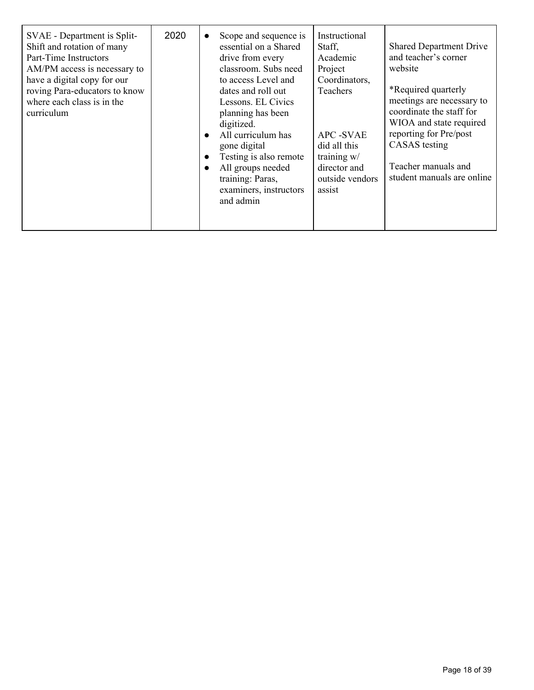| SVAE - Department is Split-<br>Shift and rotation of many<br>Part-Time Instructors<br>AM/PM access is necessary to<br>have a digital copy for our<br>roving Para-educators to know<br>where each class is in the<br>curriculum | 2020 | Scope and sequence is<br>essential on a Shared<br>drive from every<br>classroom. Subs need<br>to access Level and<br>dates and roll out<br>Lessons. EL Civics<br>planning has been<br>digitized.<br>All curriculum has<br>gone digital<br>Testing is also remote<br>All groups needed<br>training: Paras,<br>examiners, instructors<br>and admin | Instructional<br>Staff,<br>Academic<br>Project<br>Coordinators,<br>Teachers<br><b>APC-SVAE</b><br>did all this<br>training w/<br>director and<br>outside vendors<br>assist | <b>Shared Department Drive</b><br>and teacher's corner<br>website<br>*Required quarterly<br>meetings are necessary to<br>coordinate the staff for<br>WIOA and state required<br>reporting for Pre/post<br>CASAS testing<br>Teacher manuals and<br>student manuals are online |
|--------------------------------------------------------------------------------------------------------------------------------------------------------------------------------------------------------------------------------|------|--------------------------------------------------------------------------------------------------------------------------------------------------------------------------------------------------------------------------------------------------------------------------------------------------------------------------------------------------|----------------------------------------------------------------------------------------------------------------------------------------------------------------------------|------------------------------------------------------------------------------------------------------------------------------------------------------------------------------------------------------------------------------------------------------------------------------|
|--------------------------------------------------------------------------------------------------------------------------------------------------------------------------------------------------------------------------------|------|--------------------------------------------------------------------------------------------------------------------------------------------------------------------------------------------------------------------------------------------------------------------------------------------------------------------------------------------------|----------------------------------------------------------------------------------------------------------------------------------------------------------------------------|------------------------------------------------------------------------------------------------------------------------------------------------------------------------------------------------------------------------------------------------------------------------------|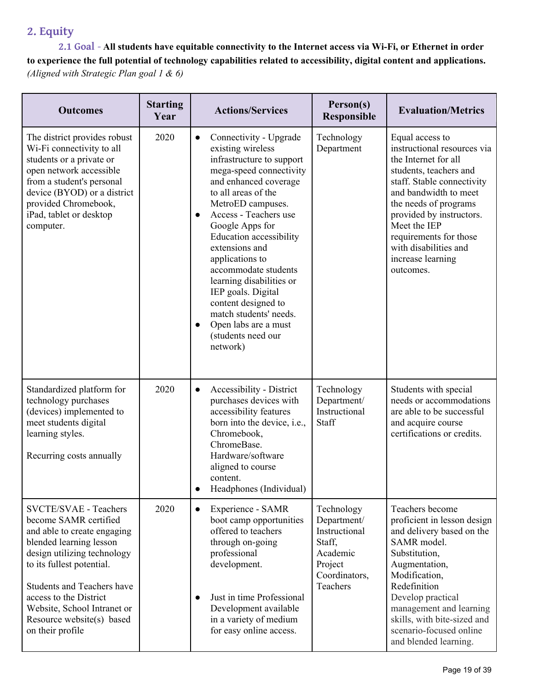## **2. Equity**

**2.1 Goal** - **All students have equitable connectivity to the Internet access via Wi-Fi, or Ethernet in order to experience the full potential of technology capabilities related to accessibility, digital content and applications.**  *(Aligned with Strategic Plan goal 1 & 6)*

| <b>Outcomes</b>                                                                                                                                                                                                                                                                                                     | <b>Starting</b><br>Year | <b>Actions/Services</b>                                                                                                                                                                                                                                                                                                                                                                                                                                                                                                 | Person(s)<br><b>Responsible</b>                                                                          | <b>Evaluation/Metrics</b>                                                                                                                                                                                                                                                                                         |
|---------------------------------------------------------------------------------------------------------------------------------------------------------------------------------------------------------------------------------------------------------------------------------------------------------------------|-------------------------|-------------------------------------------------------------------------------------------------------------------------------------------------------------------------------------------------------------------------------------------------------------------------------------------------------------------------------------------------------------------------------------------------------------------------------------------------------------------------------------------------------------------------|----------------------------------------------------------------------------------------------------------|-------------------------------------------------------------------------------------------------------------------------------------------------------------------------------------------------------------------------------------------------------------------------------------------------------------------|
| The district provides robust<br>Wi-Fi connectivity to all<br>students or a private or<br>open network accessible<br>from a student's personal<br>device (BYOD) or a district<br>provided Chromebook,<br>iPad, tablet or desktop<br>computer.                                                                        | 2020                    | Connectivity - Upgrade<br>$\bullet$<br>existing wireless<br>infrastructure to support<br>mega-speed connectivity<br>and enhanced coverage<br>to all areas of the<br>MetroED campuses.<br>Access - Teachers use<br>$\bullet$<br>Google Apps for<br><b>Education accessibility</b><br>extensions and<br>applications to<br>accommodate students<br>learning disabilities or<br>IEP goals. Digital<br>content designed to<br>match students' needs.<br>Open labs are a must<br>$\bullet$<br>(students need our<br>network) | Technology<br>Department                                                                                 | Equal access to<br>instructional resources via<br>the Internet for all<br>students, teachers and<br>staff. Stable connectivity<br>and bandwidth to meet<br>the needs of programs<br>provided by instructors.<br>Meet the IEP<br>requirements for those<br>with disabilities and<br>increase learning<br>outcomes. |
| Standardized platform for<br>technology purchases<br>(devices) implemented to<br>meet students digital<br>learning styles.<br>Recurring costs annually                                                                                                                                                              | 2020                    | Accessibility - District<br>$\bullet$<br>purchases devices with<br>accessibility features<br>born into the device, i.e.,<br>Chromebook,<br>ChromeBase.<br>Hardware/software<br>aligned to course<br>content.<br>Headphones (Individual)<br>$\bullet$                                                                                                                                                                                                                                                                    | Technology<br>Department/<br>Instructional<br>Staff                                                      | Students with special<br>needs or accommodations<br>are able to be successful<br>and acquire course<br>certifications or credits.                                                                                                                                                                                 |
| SVCTE/SVAE - Teachers<br>become SAMR certified<br>and able to create engaging<br>blended learning lesson<br>design utilizing technology<br>to its fullest potential.<br><b>Students and Teachers have</b><br>access to the District<br>Website, School Intranet or<br>Resource website(s) based<br>on their profile | 2020                    | Experience - SAMR<br>$\bullet$<br>boot camp opportunities<br>offered to teachers<br>through on-going<br>professional<br>development.<br>Just in time Professional<br>Development available<br>in a variety of medium<br>for easy online access.                                                                                                                                                                                                                                                                         | Technology<br>Department/<br>Instructional<br>Staff,<br>Academic<br>Project<br>Coordinators,<br>Teachers | Teachers become<br>proficient in lesson design<br>and delivery based on the<br>SAMR model.<br>Substitution,<br>Augmentation,<br>Modification,<br>Redefinition<br>Develop practical<br>management and learning<br>skills, with bite-sized and<br>scenario-focused online<br>and blended learning.                  |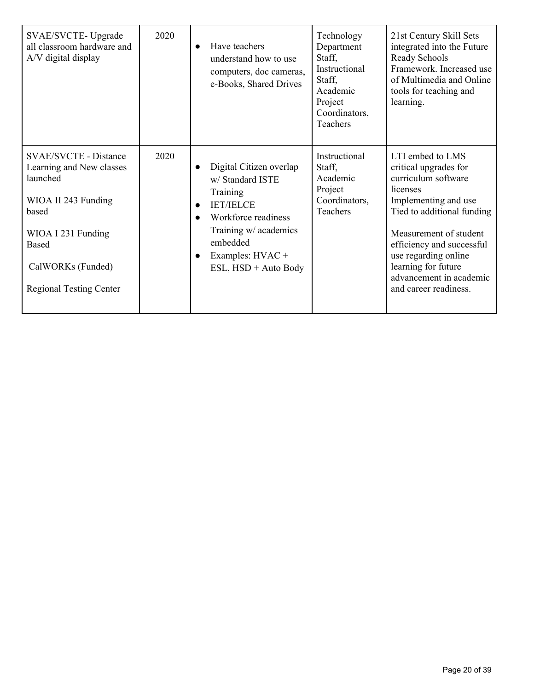| SVAE/SVCTE-Upgrade<br>all classroom hardware and<br>A/V digital display                                                                                                                           | 2020 | Have teachers<br>$\bullet$<br>understand how to use<br>computers, doc cameras,<br>e-Books, Shared Drives                                                                                                                   | Technology<br>Department<br>Staff,<br>Instructional<br>Staff,<br>Academic<br>Project<br>Coordinators,<br>Teachers | 21st Century Skill Sets<br>integrated into the Future<br>Ready Schools<br>Framework. Increased use<br>of Multimedia and Online<br>tools for teaching and<br>learning.                                                                                                                        |
|---------------------------------------------------------------------------------------------------------------------------------------------------------------------------------------------------|------|----------------------------------------------------------------------------------------------------------------------------------------------------------------------------------------------------------------------------|-------------------------------------------------------------------------------------------------------------------|----------------------------------------------------------------------------------------------------------------------------------------------------------------------------------------------------------------------------------------------------------------------------------------------|
| <b>SVAE/SVCTE - Distance</b><br>Learning and New classes<br>launched<br>WIOA II 243 Funding<br>based<br>WIOA I 231 Funding<br><b>Based</b><br>CalWORKs (Funded)<br><b>Regional Testing Center</b> | 2020 | Digital Citizen overlap<br>$\bullet$<br>w/ Standard ISTE<br>Training<br><b>IET/IELCE</b><br>$\bullet$<br>Workforce readiness<br>Training w/ academics<br>embedded<br>Examples: HVAC +<br>$\bullet$<br>ESL, HSD + Auto Body | Instructional<br>Staff,<br>Academic<br>Project<br>Coordinators,<br>Teachers                                       | LTI embed to LMS<br>critical upgrades for<br>curriculum software<br>licenses<br>Implementing and use<br>Tied to additional funding<br>Measurement of student<br>efficiency and successful<br>use regarding online<br>learning for future<br>advancement in academic<br>and career readiness. |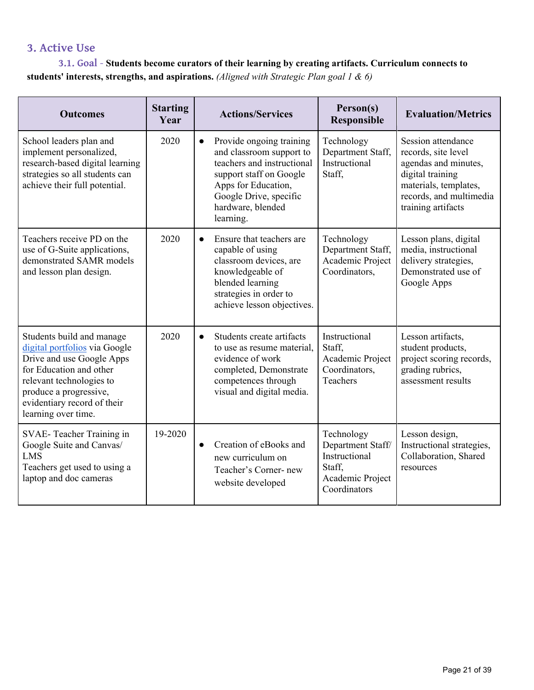#### **3. Active Use**

#### **3.1. Goal** - **Students become curators of their learning by creating artifacts. Curriculum connects to students' interests, strengths, and aspirations.** *(Aligned with Strategic Plan goal 1 & 6)*

| <b>Outcomes</b>                                                                                                                                                                                                                | <b>Starting</b><br>Year | <b>Actions/Services</b>                                                                                                                                                                                       | Person(s)<br><b>Responsible</b>                                                                | <b>Evaluation/Metrics</b>                                                                                                                                       |
|--------------------------------------------------------------------------------------------------------------------------------------------------------------------------------------------------------------------------------|-------------------------|---------------------------------------------------------------------------------------------------------------------------------------------------------------------------------------------------------------|------------------------------------------------------------------------------------------------|-----------------------------------------------------------------------------------------------------------------------------------------------------------------|
| School leaders plan and<br>implement personalized,<br>research-based digital learning<br>strategies so all students can<br>achieve their full potential.                                                                       | 2020                    | Provide ongoing training<br>$\bullet$<br>and classroom support to<br>teachers and instructional<br>support staff on Google<br>Apps for Education,<br>Google Drive, specific<br>hardware, blended<br>learning. | Technology<br>Department Staff,<br>Instructional<br>Staff,                                     | Session attendance<br>records, site level<br>agendas and minutes,<br>digital training<br>materials, templates,<br>records, and multimedia<br>training artifacts |
| Teachers receive PD on the<br>use of G-Suite applications,<br>demonstrated SAMR models<br>and lesson plan design.                                                                                                              | 2020                    | Ensure that teachers are<br>$\bullet$<br>capable of using<br>classroom devices, are<br>knowledgeable of<br>blended learning<br>strategies in order to<br>achieve lesson objectives.                           | Technology<br>Department Staff,<br>Academic Project<br>Coordinators,                           | Lesson plans, digital<br>media, instructional<br>delivery strategies,<br>Demonstrated use of<br>Google Apps                                                     |
| Students build and manage<br>digital portfolios via Google<br>Drive and use Google Apps<br>for Education and other<br>relevant technologies to<br>produce a progressive,<br>evidentiary record of their<br>learning over time. | 2020                    | Students create artifacts<br>$\bullet$<br>to use as resume material,<br>evidence of work<br>completed, Demonstrate<br>competences through<br>visual and digital media.                                        | Instructional<br>Staff,<br>Academic Project<br>Coordinators,<br>Teachers                       | Lesson artifacts,<br>student products,<br>project scoring records,<br>grading rubrics,<br>assessment results                                                    |
| SVAE-Teacher Training in<br>Google Suite and Canvas/<br><b>LMS</b><br>Teachers get used to using a<br>laptop and doc cameras                                                                                                   | 19-2020                 | Creation of eBooks and<br>$\bullet$<br>new curriculum on<br>Teacher's Corner-new<br>website developed                                                                                                         | Technology<br>Department Staff/<br>Instructional<br>Staff,<br>Academic Project<br>Coordinators | Lesson design,<br>Instructional strategies,<br>Collaboration, Shared<br>resources                                                                               |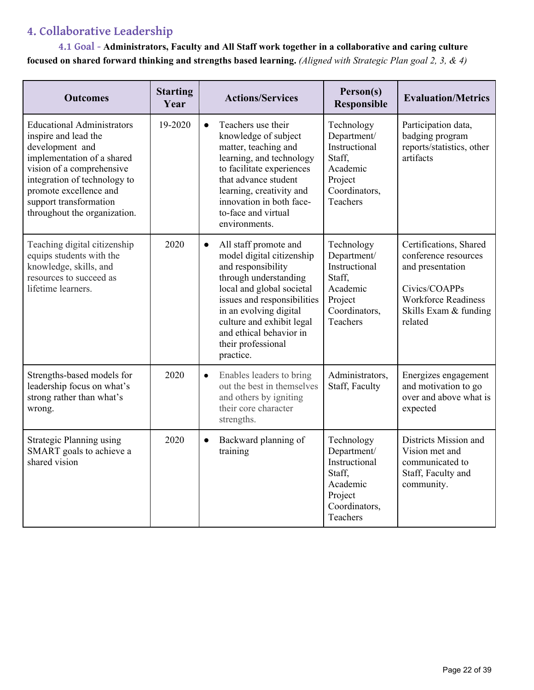## **4. Collaborative Leadership**

**4.1 Goal - Administrators, Faculty and All Staff work together in a collaborative and caring culture focused on shared forward thinking and strengths based learning.** *(Aligned with Strategic Plan goal 2, 3, & 4)*

| <b>Outcomes</b>                                                                                                                                                                                                                                             | <b>Starting</b><br>Year | <b>Actions/Services</b>                                                                                                                                                                                                                                                                         | Person(s)<br>Responsible                                                                                 | <b>Evaluation/Metrics</b>                                                                                                                             |
|-------------------------------------------------------------------------------------------------------------------------------------------------------------------------------------------------------------------------------------------------------------|-------------------------|-------------------------------------------------------------------------------------------------------------------------------------------------------------------------------------------------------------------------------------------------------------------------------------------------|----------------------------------------------------------------------------------------------------------|-------------------------------------------------------------------------------------------------------------------------------------------------------|
| <b>Educational Administrators</b><br>inspire and lead the<br>development and<br>implementation of a shared<br>vision of a comprehensive<br>integration of technology to<br>promote excellence and<br>support transformation<br>throughout the organization. | 19-2020                 | Teachers use their<br>$\bullet$<br>knowledge of subject<br>matter, teaching and<br>learning, and technology<br>to facilitate experiences<br>that advance student<br>learning, creativity and<br>innovation in both face-<br>to-face and virtual<br>environments.                                | Technology<br>Department/<br>Instructional<br>Staff.<br>Academic<br>Project<br>Coordinators,<br>Teachers | Participation data,<br>badging program<br>reports/statistics, other<br>artifacts                                                                      |
| Teaching digital citizenship<br>equips students with the<br>knowledge, skills, and<br>resources to succeed as<br>lifetime learners.                                                                                                                         | 2020                    | All staff promote and<br>$\bullet$<br>model digital citizenship<br>and responsibility<br>through understanding<br>local and global societal<br>issues and responsibilities<br>in an evolving digital<br>culture and exhibit legal<br>and ethical behavior in<br>their professional<br>practice. | Technology<br>Department/<br>Instructional<br>Staff,<br>Academic<br>Project<br>Coordinators,<br>Teachers | Certifications, Shared<br>conference resources<br>and presentation<br>Civics/COAPPs<br><b>Workforce Readiness</b><br>Skills Exam & funding<br>related |
| Strengths-based models for<br>leadership focus on what's<br>strong rather than what's<br>wrong.                                                                                                                                                             | 2020                    | Enables leaders to bring<br>$\bullet$<br>out the best in themselves<br>and others by igniting<br>their core character<br>strengths.                                                                                                                                                             | Administrators,<br>Staff, Faculty                                                                        | Energizes engagement<br>and motivation to go<br>over and above what is<br>expected                                                                    |
| <b>Strategic Planning using</b><br>SMART goals to achieve a<br>shared vision                                                                                                                                                                                | 2020                    | Backward planning of<br>$\bullet$<br>training                                                                                                                                                                                                                                                   | Technology<br>Department/<br>Instructional<br>Staff,<br>Academic<br>Project<br>Coordinators,<br>Teachers | Districts Mission and<br>Vision met and<br>communicated to<br>Staff, Faculty and<br>community.                                                        |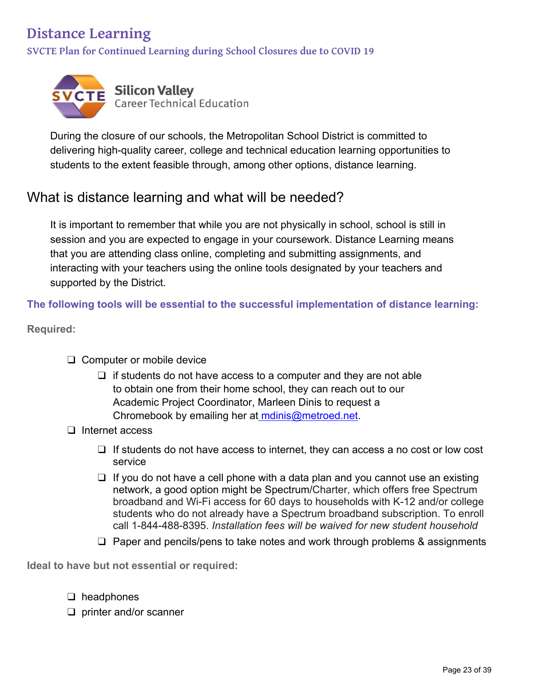## **Distance Learning**

**SVCTE Plan for Continued Learning during School Closures due to COVID 19**



During the closure of our schools, the Metropolitan School District is committed to delivering high-quality career, college and technical education learning opportunities to students to the extent feasible through, among other options, distance learning.

## What is distance learning and what will be needed?

It is important to remember that while you are not physically in school, school is still in session and you are expected to engage in your coursework. Distance Learning means that you are attending class online, completing and submitting assignments, and interacting with your teachers using the online tools designated by your teachers and supported by the District.

**The following tools will be essential to the successful implementation of distance learning:** 

**Required:** 

- ❑ Computer or mobile device
	- $\Box$  if students do not have access to a computer and they are not able to obtain one from their home school, they can reach out to our Academic Project Coordinator, Marleen Dinis to request a Chromebook by emailing her at mdinis@metroed.net.
- ❑ Internet access
	- ❑ If students do not have access to internet, they can access a no cost or low cost service
	- $\Box$  If you do not have a cell phone with a data plan and you cannot use an existing network, a good option might be Spectrum/Charter, which offers free Spectrum broadband and Wi-Fi access for 60 days to households with K-12 and/or college students who do not already have a Spectrum broadband subscription. To enroll call 1-844-488-8395. *Installation fees will be waived for new student household*
	- ❑ Paper and pencils/pens to take notes and work through problems & assignments

**Ideal to have but not essential or required:** 

- ❑ headphones
- ❑ printer and/or scanner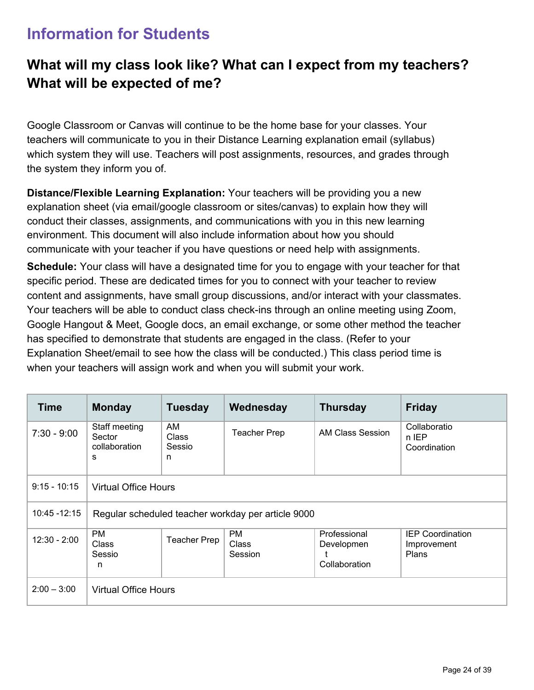## **Information for Students**

## **What will my class look like? What can I expect from my teachers? What will be expected of me?**

Google Classroom or Canvas will continue to be the home base for your classes. Your teachers will communicate to you in their Distance Learning explanation email (syllabus) which system they will use. Teachers will post assignments, resources, and grades through the system they inform you of.

**Distance/Flexible Learning Explanation:** Your teachers will be providing you a new explanation sheet (via email/google classroom or sites/canvas) to explain how they will conduct their classes, assignments, and communications with you in this new learning environment. This document will also include information about how you should communicate with your teacher if you have questions or need help with assignments.

**Schedule:** Your class will have a designated time for you to engage with your teacher for that specific period. These are dedicated times for you to connect with your teacher to review content and assignments, have small group discussions, and/or interact with your classmates. Your teachers will be able to conduct class check-ins through an online meeting using Zoom, Google Hangout & Meet, Google docs, an email exchange, or some other method the teacher has specified to demonstrate that students are engaged in the class. (Refer to your Explanation Sheet/email to see how the class will be conducted.) This class period time is when your teachers will assign work and when you will submit your work.

| <b>Time</b>     | <b>Monday</b>                                 | <b>Tuesday</b>             | Wednesday                                          | <b>Thursday</b>                             | <b>Friday</b>                                          |  |  |
|-----------------|-----------------------------------------------|----------------------------|----------------------------------------------------|---------------------------------------------|--------------------------------------------------------|--|--|
| $7:30 - 9:00$   | Staff meeting<br>Sector<br>collaboration<br>s | AM<br>Class<br>Sessio<br>n | <b>Teacher Prep</b>                                | AM Class Session                            | Collaboratio<br>n IEP<br>Coordination                  |  |  |
| $9:15 - 10:15$  | <b>Virtual Office Hours</b>                   |                            |                                                    |                                             |                                                        |  |  |
| $10:45 - 12:15$ |                                               |                            | Regular scheduled teacher workday per article 9000 |                                             |                                                        |  |  |
| $12:30 - 2:00$  | <b>PM</b><br>Class<br>Sessio<br>n             | <b>Teacher Prep</b>        | <b>PM</b><br>Class<br>Session                      | Professional<br>Developmen<br>Collaboration | <b>IEP Coordination</b><br>Improvement<br><b>Plans</b> |  |  |
| $2:00 - 3:00$   | <b>Virtual Office Hours</b>                   |                            |                                                    |                                             |                                                        |  |  |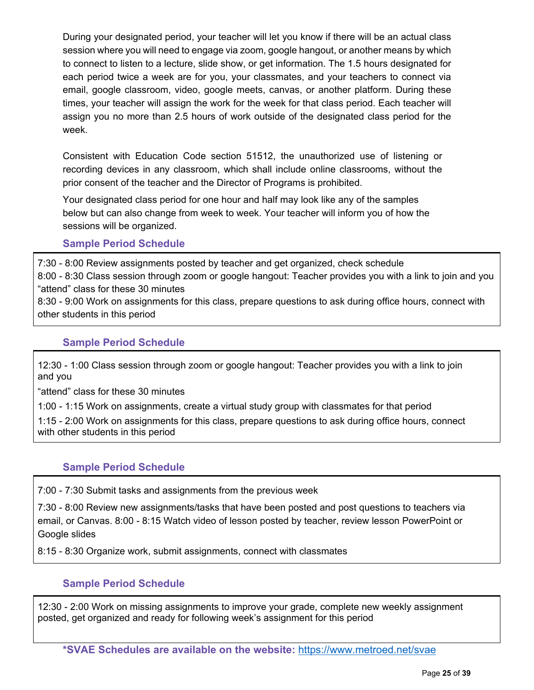During your designated period, your teacher will let you know if there will be an actual class session where you will need to engage via zoom, google hangout, or another means by which to connect to listen to a lecture, slide show, or get information. The 1.5 hours designated for each period twice a week are for you, your classmates, and your teachers to connect via email, google classroom, video, google meets, canvas, or another platform. During these times, your teacher will assign the work for the week for that class period. Each teacher will assign you no more than 2.5 hours of work outside of the designated class period for the week.

Consistent with Education Code section 51512, the unauthorized use of listening or recording devices in any classroom, which shall include online classrooms, without the prior consent of the teacher and the Director of Programs is prohibited.

Your designated class period for one hour and half may look like any of the samples below but can also change from week to week. Your teacher will inform you of how the sessions will be organized.

#### **Sample Period Schedule**

7:30 - 8:00 Review assignments posted by teacher and get organized, check schedule 8:00 - 8:30 Class session through zoom or google hangout: Teacher provides you with a link to join and you "attend" class for these 30 minutes 8:30 - 9:00 Work on assignments for this class, prepare questions to ask during office hours, connect with

#### **Sample Period Schedule**

12:30 - 1:00 Class session through zoom or google hangout: Teacher provides you with a link to join and you

"attend" class for these 30 minutes

other students in this period

1:00 - 1:15 Work on assignments, create a virtual study group with classmates for that period

1:15 - 2:00 Work on assignments for this class, prepare questions to ask during office hours, connect with other students in this period

#### **Sample Period Schedule**

7:00 - 7:30 Submit tasks and assignments from the previous week

7:30 - 8:00 Review new assignments/tasks that have been posted and post questions to teachers via email, or Canvas. 8:00 - 8:15 Watch video of lesson posted by teacher, review lesson PowerPoint or Google slides

8:15 - 8:30 Organize work, submit assignments, connect with classmates

#### **Sample Period Schedule**

12:30 - 2:00 Work on missing assignments to improve your grade, complete new weekly assignment posted, get organized and ready for following week's assignment for this period

**\*SVAE Schedules are available on the website:** https://www.metroed.net/svae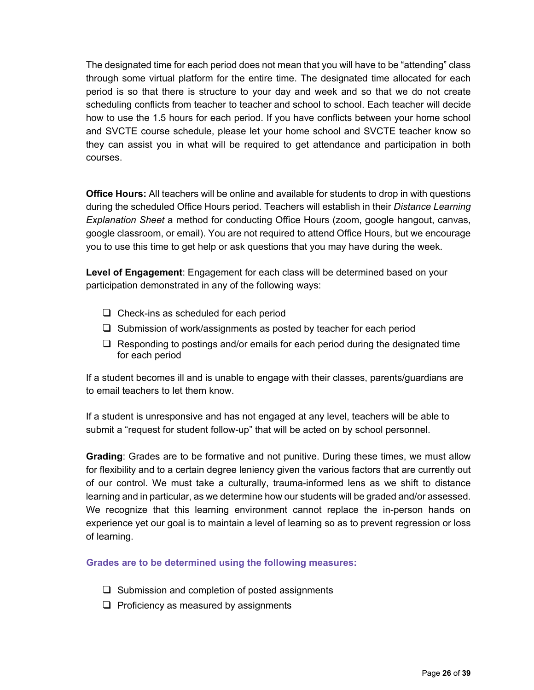The designated time for each period does not mean that you will have to be "attending" class through some virtual platform for the entire time. The designated time allocated for each period is so that there is structure to your day and week and so that we do not create scheduling conflicts from teacher to teacher and school to school. Each teacher will decide how to use the 1.5 hours for each period. If you have conflicts between your home school and SVCTE course schedule, please let your home school and SVCTE teacher know so they can assist you in what will be required to get attendance and participation in both courses.

**Office Hours:** All teachers will be online and available for students to drop in with questions during the scheduled Office Hours period. Teachers will establish in their *Distance Learning Explanation Sheet* a method for conducting Office Hours (zoom, google hangout, canvas, google classroom, or email). You are not required to attend Office Hours, but we encourage you to use this time to get help or ask questions that you may have during the week.

**Level of Engagement**: Engagement for each class will be determined based on your participation demonstrated in any of the following ways:

- ❑ Check-ins as scheduled for each period
- ❑ Submission of work/assignments as posted by teacher for each period
- ❑ Responding to postings and/or emails for each period during the designated time for each period

If a student becomes ill and is unable to engage with their classes, parents/guardians are to email teachers to let them know.

If a student is unresponsive and has not engaged at any level, teachers will be able to submit a "request for student follow-up" that will be acted on by school personnel.

**Grading**: Grades are to be formative and not punitive. During these times, we must allow for flexibility and to a certain degree leniency given the various factors that are currently out of our control. We must take a culturally, trauma-informed lens as we shift to distance learning and in particular, as we determine how our students will be graded and/or assessed. We recognize that this learning environment cannot replace the in-person hands on experience yet our goal is to maintain a level of learning so as to prevent regression or loss of learning.

**Grades are to be determined using the following measures:** 

- $\Box$  Submission and completion of posted assignments
- $\Box$  Proficiency as measured by assignments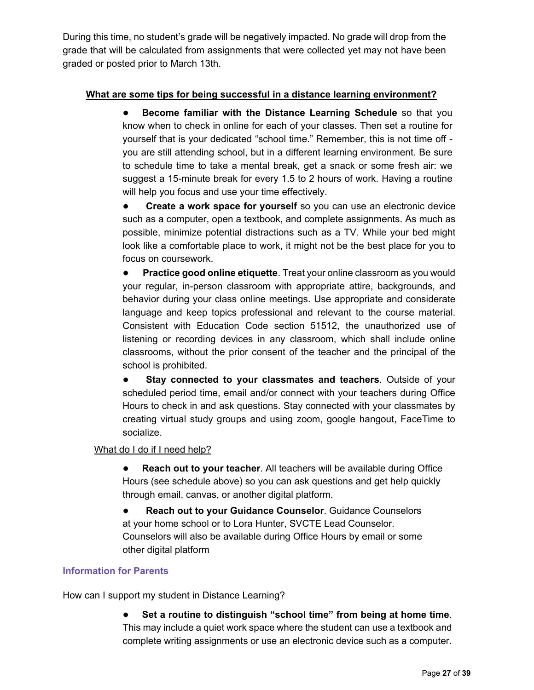During this time, no student's grade will be negatively impacted. No grade will drop from the grade that will be calculated from assignments that were collected yet may not have been graded or posted prior to March 13th.

#### **What are some tips for being successful in a distance learning environment?**

● **Become familiar with the Distance Learning Schedule** so that you know when to check in online for each of your classes. Then set a routine for yourself that is your dedicated "school time." Remember, this is not time off you are still attending school, but in a different learning environment. Be sure to schedule time to take a mental break, get a snack or some fresh air: we suggest a 15-minute break for every 1.5 to 2 hours of work. Having a routine will help you focus and use your time effectively.

● **Create a work space for yourself** so you can use an electronic device such as a computer, open a textbook, and complete assignments. As much as possible, minimize potential distractions such as a TV. While your bed might look like a comfortable place to work, it might not be the best place for you to focus on coursework.

**• Practice good online etiquette**. Treat your online classroom as you would your regular, in-person classroom with appropriate attire, backgrounds, and behavior during your class online meetings. Use appropriate and considerate language and keep topics professional and relevant to the course material. Consistent with Education Code section 51512, the unauthorized use of listening or recording devices in any classroom, which shall include online classrooms, without the prior consent of the teacher and the principal of the school is prohibited.

● **Stay connected to your classmates and teachers**. Outside of your scheduled period time, email and/or connect with your teachers during Office Hours to check in and ask questions. Stay connected with your classmates by creating virtual study groups and using zoom, google hangout, FaceTime to socialize.

#### What do I do if I need help?

**• Reach out to your teacher**. All teachers will be available during Office Hours (see schedule above) so you can ask questions and get help quickly through email, canvas, or another digital platform.

● **Reach out to your Guidance Counselor**. Guidance Counselors at your home school or to Lora Hunter, SVCTE Lead Counselor. Counselors will also be available during Office Hours by email or some other digital platform

#### **Information for Parents**

How can I support my student in Distance Learning?

● **Set a routine to distinguish "school time" from being at home time**. This may include a quiet work space where the student can use a textbook and complete writing assignments or use an electronic device such as a computer.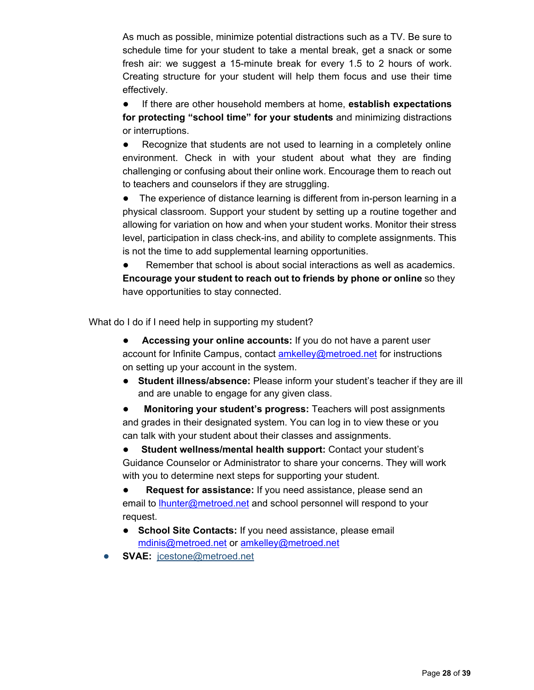As much as possible, minimize potential distractions such as a TV. Be sure to schedule time for your student to take a mental break, get a snack or some fresh air: we suggest a 15-minute break for every 1.5 to 2 hours of work. Creating structure for your student will help them focus and use their time effectively.

● If there are other household members at home, **establish expectations for protecting "school time" for your students** and minimizing distractions or interruptions.

● Recognize that students are not used to learning in a completely online environment. Check in with your student about what they are finding challenging or confusing about their online work. Encourage them to reach out to teachers and counselors if they are struggling.

● The experience of distance learning is different from in-person learning in a physical classroom. Support your student by setting up a routine together and allowing for variation on how and when your student works. Monitor their stress level, participation in class check-ins, and ability to complete assignments. This is not the time to add supplemental learning opportunities.

● Remember that school is about social interactions as well as academics. **Encourage your student to reach out to friends by phone or online** so they have opportunities to stay connected.

What do I do if I need help in supporting my student?

- **Accessing your online accounts:** If you do not have a parent user account for Infinite Campus, contact amkelley@metroed.net for instructions on setting up your account in the system.
- **Student illness/absence:** Please inform your student's teacher if they are ill and are unable to engage for any given class.

● **Monitoring your student's progress:** Teachers will post assignments and grades in their designated system. You can log in to view these or you can talk with your student about their classes and assignments.

● **Student wellness/mental health support:** Contact your student's Guidance Counselor or Administrator to share your concerns. They will work with you to determine next steps for supporting your student.

● **Request for assistance:** If you need assistance, please send an email to lhunter@metroed.net and school personnel will respond to your request.

● **School Site Contacts:** If you need assistance, please email mdinis@metroed.net or amkelley@metroed.net

● **SVAE:** jcestone@metroed.net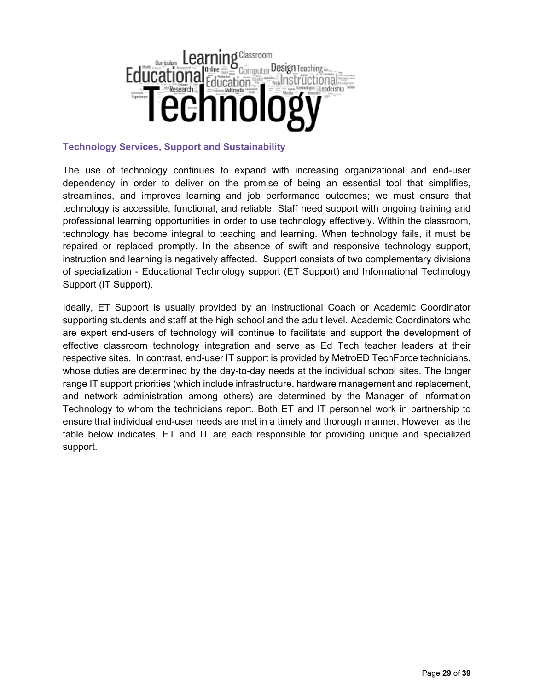

#### **Technology Services, Support and Sustainability**

The use of technology continues to expand with increasing organizational and end-user dependency in order to deliver on the promise of being an essential tool that simplifies, streamlines, and improves learning and job performance outcomes; we must ensure that technology is accessible, functional, and reliable. Staff need support with ongoing training and professional learning opportunities in order to use technology effectively. Within the classroom, technology has become integral to teaching and learning. When technology fails, it must be repaired or replaced promptly. In the absence of swift and responsive technology support, instruction and learning is negatively affected. Support consists of two complementary divisions of specialization - Educational Technology support (ET Support) and Informational Technology Support (IT Support).

Ideally, ET Support is usually provided by an Instructional Coach or Academic Coordinator supporting students and staff at the high school and the adult level. Academic Coordinators who are expert end-users of technology will continue to facilitate and support the development of effective classroom technology integration and serve as Ed Tech teacher leaders at their respective sites. In contrast, end-user IT support is provided by MetroED TechForce technicians, whose duties are determined by the day-to-day needs at the individual school sites. The longer range IT support priorities (which include infrastructure, hardware management and replacement, and network administration among others) are determined by the Manager of Information Technology to whom the technicians report. Both ET and IT personnel work in partnership to ensure that individual end-user needs are met in a timely and thorough manner. However, as the table below indicates, ET and IT are each responsible for providing unique and specialized support.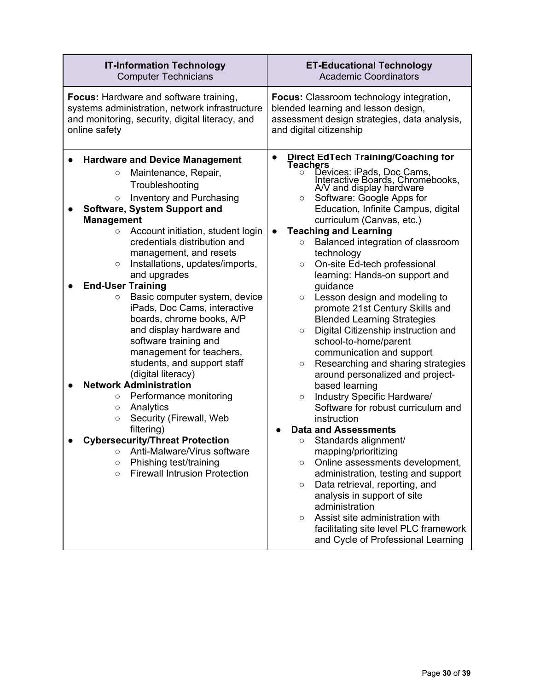| <b>IT-Information Technology</b>                                                                                                                                                                                                                                                                                                                                                                                                                                                                                                                                                                                                                                                                                                                                                                                                                                                                                                                                         | <b>ET-Educational Technology</b>                                                                                                                                                                                                                                                                                                                                                                                                                                                                                                                                                                                                                                                                                                                                                                                                                                                                                                                                                                                                                                                                                                                                                                                                                                                             |  |  |
|--------------------------------------------------------------------------------------------------------------------------------------------------------------------------------------------------------------------------------------------------------------------------------------------------------------------------------------------------------------------------------------------------------------------------------------------------------------------------------------------------------------------------------------------------------------------------------------------------------------------------------------------------------------------------------------------------------------------------------------------------------------------------------------------------------------------------------------------------------------------------------------------------------------------------------------------------------------------------|----------------------------------------------------------------------------------------------------------------------------------------------------------------------------------------------------------------------------------------------------------------------------------------------------------------------------------------------------------------------------------------------------------------------------------------------------------------------------------------------------------------------------------------------------------------------------------------------------------------------------------------------------------------------------------------------------------------------------------------------------------------------------------------------------------------------------------------------------------------------------------------------------------------------------------------------------------------------------------------------------------------------------------------------------------------------------------------------------------------------------------------------------------------------------------------------------------------------------------------------------------------------------------------------|--|--|
| <b>Computer Technicians</b>                                                                                                                                                                                                                                                                                                                                                                                                                                                                                                                                                                                                                                                                                                                                                                                                                                                                                                                                              | <b>Academic Coordinators</b>                                                                                                                                                                                                                                                                                                                                                                                                                                                                                                                                                                                                                                                                                                                                                                                                                                                                                                                                                                                                                                                                                                                                                                                                                                                                 |  |  |
| <b>Focus:</b> Hardware and software training,                                                                                                                                                                                                                                                                                                                                                                                                                                                                                                                                                                                                                                                                                                                                                                                                                                                                                                                            | <b>Focus:</b> Classroom technology integration,                                                                                                                                                                                                                                                                                                                                                                                                                                                                                                                                                                                                                                                                                                                                                                                                                                                                                                                                                                                                                                                                                                                                                                                                                                              |  |  |
| systems administration, network infrastructure                                                                                                                                                                                                                                                                                                                                                                                                                                                                                                                                                                                                                                                                                                                                                                                                                                                                                                                           | blended learning and lesson design,                                                                                                                                                                                                                                                                                                                                                                                                                                                                                                                                                                                                                                                                                                                                                                                                                                                                                                                                                                                                                                                                                                                                                                                                                                                          |  |  |
| and monitoring, security, digital literacy, and                                                                                                                                                                                                                                                                                                                                                                                                                                                                                                                                                                                                                                                                                                                                                                                                                                                                                                                          | assessment design strategies, data analysis,                                                                                                                                                                                                                                                                                                                                                                                                                                                                                                                                                                                                                                                                                                                                                                                                                                                                                                                                                                                                                                                                                                                                                                                                                                                 |  |  |
| online safety                                                                                                                                                                                                                                                                                                                                                                                                                                                                                                                                                                                                                                                                                                                                                                                                                                                                                                                                                            | and digital citizenship                                                                                                                                                                                                                                                                                                                                                                                                                                                                                                                                                                                                                                                                                                                                                                                                                                                                                                                                                                                                                                                                                                                                                                                                                                                                      |  |  |
| <b>Hardware and Device Management</b><br>Maintenance, Repair,<br>$\circ$<br>Troubleshooting<br>Inventory and Purchasing<br>$\circ$<br>Software, System Support and<br><b>Management</b><br>Account initiation, student login<br>$\circ$<br>credentials distribution and<br>management, and resets<br>Installations, updates/imports,<br>$\circ$<br>and upgrades<br><b>End-User Training</b><br>Basic computer system, device<br>$\circ$<br>iPads, Doc Cams, interactive<br>boards, chrome books, A/P<br>and display hardware and<br>software training and<br>management for teachers,<br>students, and support staff<br>(digital literacy)<br><b>Network Administration</b><br>Performance monitoring<br>$\circ$<br>Analytics<br>$\circ$<br>Security (Firewall, Web<br>$\circ$<br>filtering)<br><b>Cybersecurity/Threat Protection</b><br>Anti-Malware/Virus software<br>$\circ$<br>Phishing test/training<br>$\circ$<br><b>Firewall Intrusion Protection</b><br>$\circ$ | Direct EdTech Training/Coaching for<br>Teachers<br>Devices: iPads, Doc Cams,<br>Interactive Boards, Chromebooks,<br>A/V and display hardware<br>Software: Google Apps for<br>$\circ$<br>Education, Infinite Campus, digital<br>curriculum (Canvas, etc.)<br><b>Teaching and Learning</b><br>Balanced integration of classroom<br>$\circ$<br>technology<br>On-site Ed-tech professional<br>$\circ$<br>learning: Hands-on support and<br>guidance<br>Lesson design and modeling to<br>$\circ$<br>promote 21st Century Skills and<br><b>Blended Learning Strategies</b><br>Digital Citizenship instruction and<br>$\circ$<br>school-to-home/parent<br>communication and support<br>Researching and sharing strategies<br>$\circ$<br>around personalized and project-<br>based learning<br>Industry Specific Hardware/<br>$\circ$<br>Software for robust curriculum and<br>instruction<br><b>Data and Assessments</b><br>Standards alignment/<br>$\circ$<br>mapping/prioritizing<br>Online assessments development,<br>$\circ$<br>administration, testing and support<br>Data retrieval, reporting, and<br>$\circ$<br>analysis in support of site<br>administration<br>Assist site administration with<br>$\circ$<br>facilitating site level PLC framework<br>and Cycle of Professional Learning |  |  |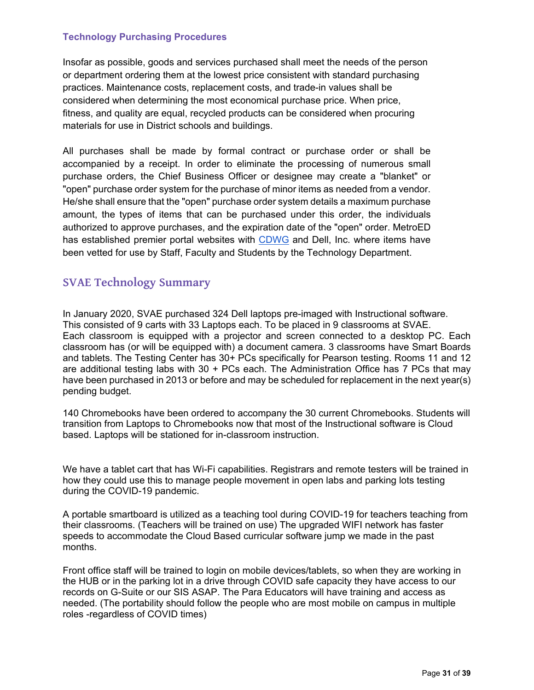#### **Technology Purchasing Procedures**

Insofar as possible, goods and services purchased shall meet the needs of the person or department ordering them at the lowest price consistent with standard purchasing practices. Maintenance costs, replacement costs, and trade-in values shall be considered when determining the most economical purchase price. When price, fitness, and quality are equal, recycled products can be considered when procuring materials for use in District schools and buildings.

All purchases shall be made by formal contract or purchase order or shall be accompanied by a receipt. In order to eliminate the processing of numerous small purchase orders, the Chief Business Officer or designee may create a "blanket" or "open" purchase order system for the purchase of minor items as needed from a vendor. He/she shall ensure that the "open" purchase order system details a maximum purchase amount, the types of items that can be purchased under this order, the individuals authorized to approve purchases, and the expiration date of the "open" order. MetroED has established premier portal websites with CDWG and Dell, Inc. where items have been vetted for use by Staff, Faculty and Students by the Technology Department.

#### **SVAE Technology Summary**

In January 2020, SVAE purchased 324 Dell laptops pre-imaged with Instructional software. This consisted of 9 carts with 33 Laptops each. To be placed in 9 classrooms at SVAE. Each classroom is equipped with a projector and screen connected to a desktop PC. Each classroom has (or will be equipped with) a document camera. 3 classrooms have Smart Boards and tablets. The Testing Center has 30+ PCs specifically for Pearson testing. Rooms 11 and 12 are additional testing labs with  $30 + PCs$  each. The Administration Office has 7 PCs that may have been purchased in 2013 or before and may be scheduled for replacement in the next year(s) pending budget.

140 Chromebooks have been ordered to accompany the 30 current Chromebooks. Students will transition from Laptops to Chromebooks now that most of the Instructional software is Cloud based. Laptops will be stationed for in-classroom instruction.

We have a tablet cart that has Wi-Fi capabilities. Registrars and remote testers will be trained in how they could use this to manage people movement in open labs and parking lots testing during the COVID-19 pandemic.

A portable smartboard is utilized as a teaching tool during COVID-19 for teachers teaching from their classrooms. (Teachers will be trained on use) The upgraded WIFI network has faster speeds to accommodate the Cloud Based curricular software jump we made in the past months.

Front office staff will be trained to login on mobile devices/tablets, so when they are working in the HUB or in the parking lot in a drive through COVID safe capacity they have access to our records on G-Suite or our SIS ASAP. The Para Educators will have training and access as needed. (The portability should follow the people who are most mobile on campus in multiple roles -regardless of COVID times)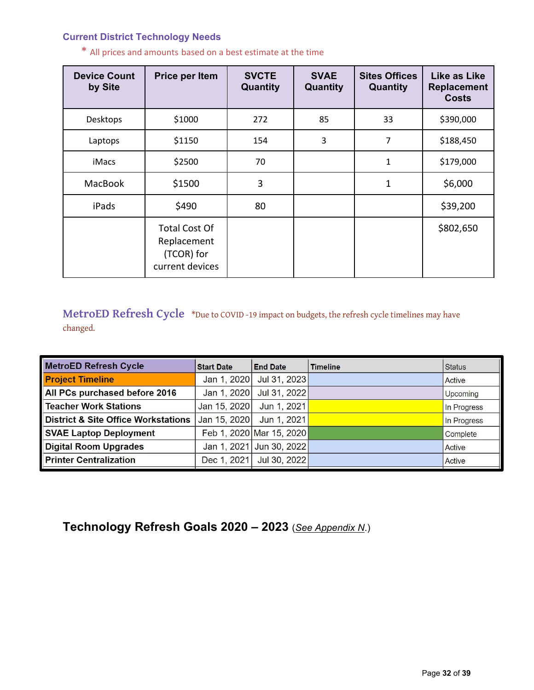#### **Current District Technology Needs**

| <b>Device Count</b><br>by Site | Price per Item                                                       | <b>SVCTE</b><br>Quantity | <b>SVAE</b><br>Quantity | <b>Sites Offices</b><br>Quantity | Like as Like<br><b>Replacement</b><br><b>Costs</b> |
|--------------------------------|----------------------------------------------------------------------|--------------------------|-------------------------|----------------------------------|----------------------------------------------------|
| Desktops                       | \$1000                                                               | 272                      | 85                      | 33                               | \$390,000                                          |
| Laptops                        | \$1150                                                               | 154                      | 3                       | 7                                | \$188,450                                          |
| iMacs                          | \$2500                                                               | 70                       |                         | $\mathbf 1$                      | \$179,000                                          |
| <b>MacBook</b>                 | \$1500                                                               | 3                        |                         | $\mathbf{1}$                     | \$6,000                                            |
| iPads                          | \$490                                                                | 80                       |                         |                                  | \$39,200                                           |
|                                | <b>Total Cost Of</b><br>Replacement<br>(TCOR) for<br>current devices |                          |                         |                                  | \$802,650                                          |

\* All prices and amounts based on a best estimate at the time

MetroED Refresh Cycle \*Due to COVID -19 impact on budgets, the refresh cycle timelines may have changed.

| <b>MetroED Refresh Cycle</b>                   | <b>Start Date</b> | <b>End Date</b>          | <b>Timeline</b> | <b>Status</b> |
|------------------------------------------------|-------------------|--------------------------|-----------------|---------------|
| <b>Project Timeline</b>                        | Jan 1, 2020       | Jul 31, 2023             |                 | Active        |
| All PCs purchased before 2016                  | Jan 1, 2020       | Jul 31, 2022             |                 | Upcoming      |
| <b>Teacher Work Stations</b>                   | Jan 15, 2020      | Jun 1, 2021              |                 | In Progress   |
| <b>District &amp; Site Office Workstations</b> | Jan 15, 2020      | Jun 1, 2021              |                 | In Progress   |
| <b>SVAE Laptop Deployment</b>                  |                   | Feb 1, 2020 Mar 15, 2020 |                 | Complete      |
| <b>Digital Room Upgrades</b>                   |                   | Jan 1, 2021 Jun 30, 2022 |                 | Active        |
| <b>Printer Centralization</b>                  | Dec 1, 2021       | Jul 30, 2022             |                 | Active        |

**Technology Refresh Goals 2020 – 2023** (*See Appendix N*.)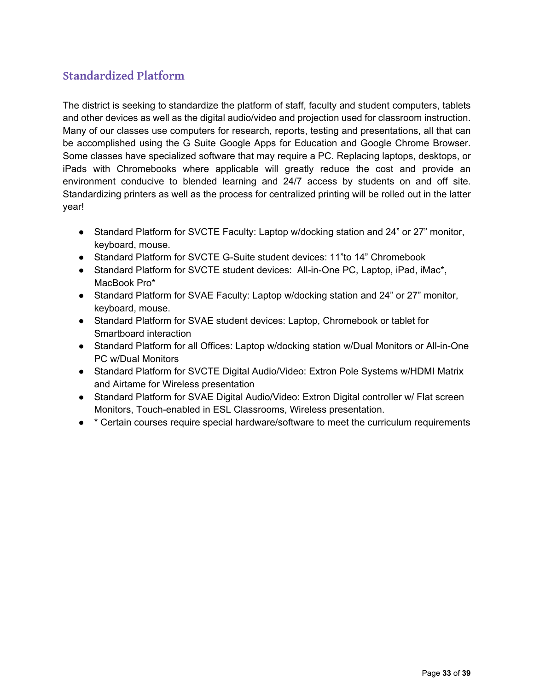## **Standardized Platform**

The district is seeking to standardize the platform of staff, faculty and student computers, tablets and other devices as well as the digital audio/video and projection used for classroom instruction. Many of our classes use computers for research, reports, testing and presentations, all that can be accomplished using the G Suite Google Apps for Education and Google Chrome Browser. Some classes have specialized software that may require a PC. Replacing laptops, desktops, or iPads with Chromebooks where applicable will greatly reduce the cost and provide an environment conducive to blended learning and 24/7 access by students on and off site. Standardizing printers as well as the process for centralized printing will be rolled out in the latter year!

- Standard Platform for SVCTE Faculty: Laptop w/docking station and 24" or 27" monitor, keyboard, mouse.
- Standard Platform for SVCTE G-Suite student devices: 11"to 14" Chromebook
- Standard Platform for SVCTE student devices: All-in-One PC, Laptop, iPad, iMac\*, MacBook Pro\*
- Standard Platform for SVAE Faculty: Laptop w/docking station and 24" or 27" monitor, keyboard, mouse.
- Standard Platform for SVAE student devices: Laptop, Chromebook or tablet for Smartboard interaction
- Standard Platform for all Offices: Laptop w/docking station w/Dual Monitors or All-in-One PC w/Dual Monitors
- Standard Platform for SVCTE Digital Audio/Video: Extron Pole Systems w/HDMI Matrix and Airtame for Wireless presentation
- Standard Platform for SVAE Digital Audio/Video: Extron Digital controller w/ Flat screen Monitors, Touch-enabled in ESL Classrooms, Wireless presentation.
- \* Certain courses require special hardware/software to meet the curriculum requirements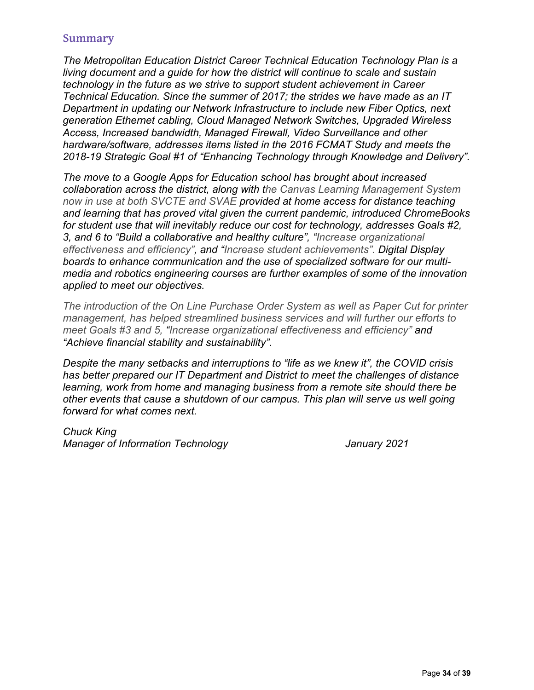#### **Summary**

*The Metropolitan Education District Career Technical Education Technology Plan is a living document and a guide for how the district will continue to scale and sustain technology in the future as we strive to support student achievement in Career Technical Education. Since the summer of 2017; the strides we have made as an IT Department in updating our Network Infrastructure to include new Fiber Optics, next generation Ethernet cabling, Cloud Managed Network Switches, Upgraded Wireless Access, Increased bandwidth, Managed Firewall, Video Surveillance and other hardware/software, addresses items listed in the 2016 FCMAT Study and meets the 2018-19 Strategic Goal #1 of "Enhancing Technology through Knowledge and Delivery".* 

*The move to a Google Apps for Education school has brought about increased collaboration across the district, along with the Canvas Learning Management System now in use at both SVCTE and SVAE provided at home access for distance teaching and learning that has proved vital given the current pandemic, introduced ChromeBooks for student use that will inevitably reduce our cost for technology, addresses Goals #2, 3, and 6 to "Build a collaborative and healthy culture", "Increase organizational effectiveness and efficiency", and "Increase student achievements". Digital Display boards to enhance communication and the use of specialized software for our multimedia and robotics engineering courses are further examples of some of the innovation applied to meet our objectives.*

*The introduction of the On Line Purchase Order System as well as Paper Cut for printer management, has helped streamlined business services and will further our efforts to meet Goals #3 and 5, "Increase organizational effectiveness and efficiency" and "Achieve financial stability and sustainability".* 

*Despite the many setbacks and interruptions to "life as we knew it", the COVID crisis has better prepared our IT Department and District to meet the challenges of distance learning, work from home and managing business from a remote site should there be other events that cause a shutdown of our campus. This plan will serve us well going forward for what comes next.* 

*Chuck King Manager of Information Technology January 2021*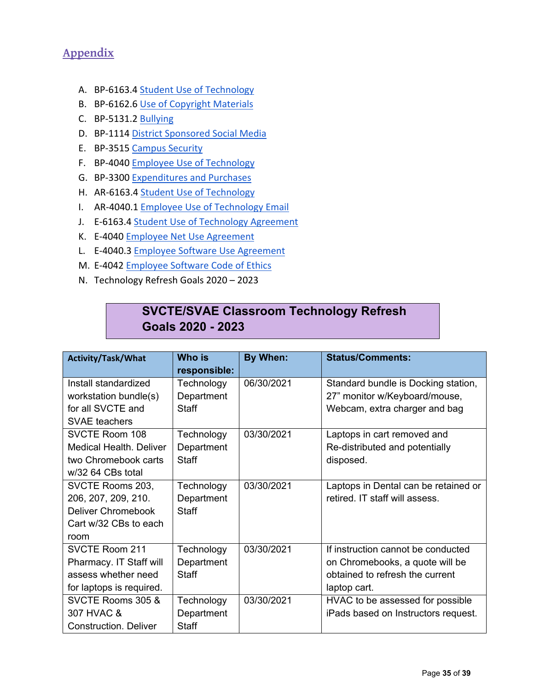## **Appendix**

- A. BP-6163.4 Student Use of Technology
- B. BP‐6162.6 Use of Copyright Materials
- C. BP‐5131.2 Bullying
- D. BP-1114 District Sponsored Social Media
- E. BP-3515 Campus Security
- F. BP‐4040 Employee Use of Technology
- G. BP‐3300 Expenditures and Purchases
- H. AR-6163.4 Student Use of Technology
- I. AR-4040.1 Employee Use of Technology Email
- J. E-6163.4 Student Use of Technology Agreement
- K. E-4040 Employee Net Use Agreement
- L. E-4040.3 Employee Software Use Agreement
- M. E‐4042 Employee Software Code of Ethics
- N. Technology Refresh Goals 2020 2023

## **SVCTE/SVAE Classroom Technology Refresh Goals 2020 - 2023**

| <b>Activity/Task/What</b>      | Who is       | By When:   | <b>Status/Comments:</b>              |
|--------------------------------|--------------|------------|--------------------------------------|
|                                | responsible: |            |                                      |
| Install standardized           | Technology   | 06/30/2021 | Standard bundle is Docking station,  |
| workstation bundle(s)          | Department   |            | 27" monitor w/Keyboard/mouse,        |
| for all SVCTE and              | Staff        |            | Webcam, extra charger and bag        |
| <b>SVAE</b> teachers           |              |            |                                      |
| <b>SVCTE Room 108</b>          | Technology   | 03/30/2021 | Laptops in cart removed and          |
| <b>Medical Health. Deliver</b> | Department   |            | Re-distributed and potentially       |
| two Chromebook carts           | <b>Staff</b> |            | disposed.                            |
| $w/32$ 64 CBs total            |              |            |                                      |
| SVCTE Rooms 203,               | Technology   | 03/30/2021 | Laptops in Dental can be retained or |
| 206, 207, 209, 210.            | Department   |            | retired. IT staff will assess.       |
| Deliver Chromebook             | Staff        |            |                                      |
| Cart w/32 CBs to each          |              |            |                                      |
| room                           |              |            |                                      |
| <b>SVCTE Room 211</b>          | Technology   | 03/30/2021 | If instruction cannot be conducted   |
| Pharmacy. IT Staff will        | Department   |            | on Chromebooks, a quote will be      |
| assess whether need            | Staff        |            | obtained to refresh the current      |
| for laptops is required.       |              |            | laptop cart.                         |
| SVCTE Rooms 305 &              | Technology   | 03/30/2021 | HVAC to be assessed for possible     |
| 307 HVAC &                     | Department   |            | iPads based on Instructors request.  |
| <b>Construction. Deliver</b>   | <b>Staff</b> |            |                                      |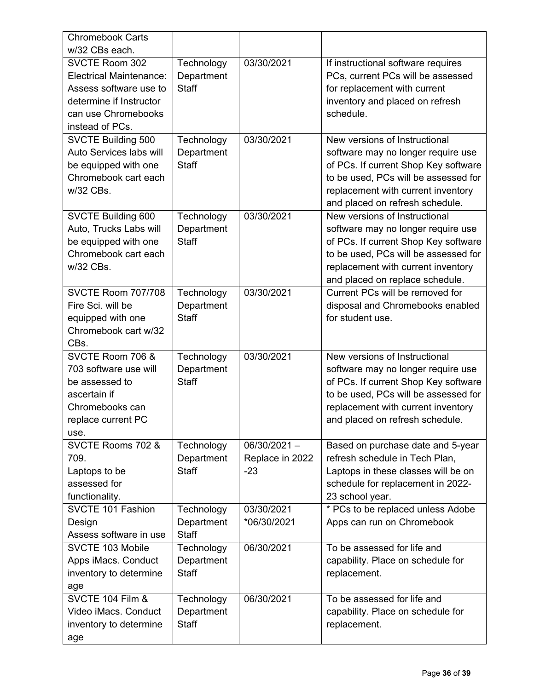| <b>Chromebook Carts</b>        |              |                 |                                      |
|--------------------------------|--------------|-----------------|--------------------------------------|
| w/32 CBs each.                 |              |                 |                                      |
| <b>SVCTE Room 302</b>          | Technology   | 03/30/2021      | If instructional software requires   |
| <b>Electrical Maintenance:</b> | Department   |                 | PCs, current PCs will be assessed    |
| Assess software use to         | <b>Staff</b> |                 | for replacement with current         |
| determine if Instructor        |              |                 | inventory and placed on refresh      |
| can use Chromebooks            |              |                 | schedule.                            |
| instead of PCs.                |              |                 |                                      |
| SVCTE Building 500             | Technology   | 03/30/2021      | New versions of Instructional        |
| Auto Services labs will        | Department   |                 | software may no longer require use   |
| be equipped with one           | <b>Staff</b> |                 | of PCs. If current Shop Key software |
| Chromebook cart each           |              |                 | to be used, PCs will be assessed for |
| w/32 CBs.                      |              |                 | replacement with current inventory   |
|                                |              |                 | and placed on refresh schedule.      |
| SVCTE Building 600             | Technology   | 03/30/2021      | New versions of Instructional        |
| Auto, Trucks Labs will         | Department   |                 | software may no longer require use   |
| be equipped with one           | <b>Staff</b> |                 | of PCs. If current Shop Key software |
| Chromebook cart each           |              |                 | to be used, PCs will be assessed for |
| w/32 CBs.                      |              |                 | replacement with current inventory   |
|                                |              |                 | and placed on replace schedule.      |
| <b>SVCTE Room 707/708</b>      | Technology   | 03/30/2021      | Current PCs will be removed for      |
| Fire Sci. will be              | Department   |                 | disposal and Chromebooks enabled     |
| equipped with one              | <b>Staff</b> |                 | for student use.                     |
| Chromebook cart w/32           |              |                 |                                      |
| CBs.                           |              |                 |                                      |
| SVCTE Room 706 &               | Technology   | 03/30/2021      | New versions of Instructional        |
| 703 software use will          | Department   |                 | software may no longer require use   |
| be assessed to                 | <b>Staff</b> |                 | of PCs. If current Shop Key software |
| ascertain if                   |              |                 | to be used, PCs will be assessed for |
| Chromebooks can                |              |                 | replacement with current inventory   |
| replace current PC             |              |                 | and placed on refresh schedule.      |
| use.                           |              |                 |                                      |
| SVCTE Rooms 702 &              | Technology   | $06/30/2021 -$  | Based on purchase date and 5-year    |
| 709.                           | Department   | Replace in 2022 | refresh schedule in Tech Plan,       |
| Laptops to be                  | <b>Staff</b> | $-23$           | Laptops in these classes will be on  |
| assessed for                   |              |                 | schedule for replacement in 2022-    |
| functionality.                 |              |                 | 23 school year.                      |
| SVCTE 101 Fashion              | Technology   | 03/30/2021      | * PCs to be replaced unless Adobe    |
| Design                         | Department   | *06/30/2021     | Apps can run on Chromebook           |
| Assess software in use         | <b>Staff</b> |                 |                                      |
| SVCTE 103 Mobile               | Technology   | 06/30/2021      | To be assessed for life and          |
| Apps iMacs. Conduct            | Department   |                 | capability. Place on schedule for    |
| inventory to determine         | Staff        |                 | replacement.                         |
| age                            |              |                 |                                      |
| SVCTE 104 Film &               | Technology   | 06/30/2021      | To be assessed for life and          |
| Video iMacs. Conduct           | Department   |                 | capability. Place on schedule for    |
| inventory to determine         | Staff        |                 | replacement.                         |
|                                |              |                 |                                      |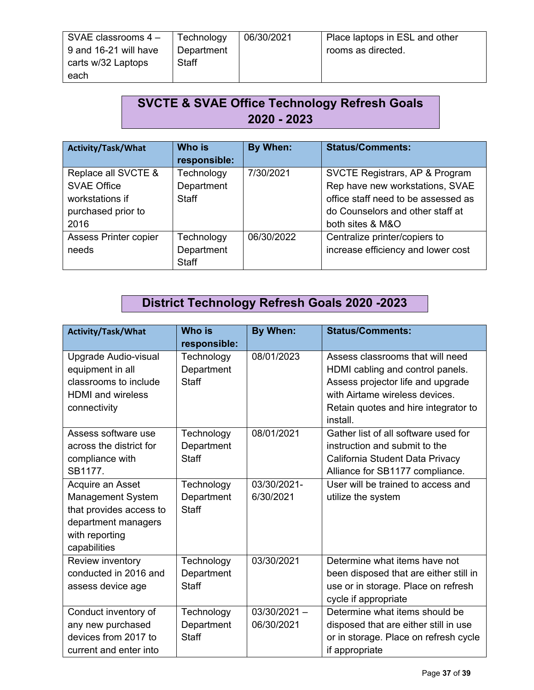| SVAE classrooms $4 -$ | Technology   | 06/30/2021 | Place laptops in ESL and other |
|-----------------------|--------------|------------|--------------------------------|
| 9 and 16-21 will have | Department   |            | rooms as directed.             |
| carts w/32 Laptops    | <b>Staff</b> |            |                                |
| each                  |              |            |                                |

## **SVCTE & SVAE Office Technology Refresh Goals 2020 - 2023**

| <b>Activity/Task/What</b>    | <b>Who is</b> | By When:   | <b>Status/Comments:</b>             |
|------------------------------|---------------|------------|-------------------------------------|
|                              | responsible:  |            |                                     |
| Replace all SVCTE &          | Technology    | 7/30/2021  | SVCTE Registrars, AP & Program      |
| <b>SVAE Office</b>           | Department    |            | Rep have new workstations, SVAE     |
| workstations if              | <b>Staff</b>  |            | office staff need to be assessed as |
| purchased prior to           |               |            | do Counselors and other staff at    |
| 2016                         |               |            | both sites & M&O                    |
| <b>Assess Printer copier</b> | Technology    | 06/30/2022 | Centralize printer/copiers to       |
| needs                        | Department    |            | increase efficiency and lower cost  |
|                              | Staff         |            |                                     |

## **District Technology Refresh Goals 2020 -2023**

| Activity/Task/What       | <b>Who is</b> | By When:       | <b>Status/Comments:</b>                |
|--------------------------|---------------|----------------|----------------------------------------|
|                          | responsible:  |                |                                        |
| Upgrade Audio-visual     | Technology    | 08/01/2023     | Assess classrooms that will need       |
| equipment in all         | Department    |                | HDMI cabling and control panels.       |
| classrooms to include    | <b>Staff</b>  |                | Assess projector life and upgrade      |
| <b>HDMI</b> and wireless |               |                | with Airtame wireless devices.         |
| connectivity             |               |                | Retain quotes and hire integrator to   |
|                          |               |                | install.                               |
| Assess software use      | Technology    | 08/01/2021     | Gather list of all software used for   |
| across the district for  | Department    |                | instruction and submit to the          |
| compliance with          | Staff         |                | California Student Data Privacy        |
| SB1177.                  |               |                | Alliance for SB1177 compliance.        |
| Acquire an Asset         | Technology    | 03/30/2021-    | User will be trained to access and     |
| <b>Management System</b> | Department    | 6/30/2021      | utilize the system                     |
| that provides access to  | <b>Staff</b>  |                |                                        |
| department managers      |               |                |                                        |
| with reporting           |               |                |                                        |
| capabilities             |               |                |                                        |
| Review inventory         | Technology    | 03/30/2021     | Determine what items have not          |
| conducted in 2016 and    | Department    |                | been disposed that are either still in |
| assess device age        | Staff         |                | use or in storage. Place on refresh    |
|                          |               |                | cycle if appropriate                   |
| Conduct inventory of     | Technology    | $03/30/2021 -$ | Determine what items should be         |
| any new purchased        | Department    | 06/30/2021     | disposed that are either still in use  |
| devices from 2017 to     | <b>Staff</b>  |                | or in storage. Place on refresh cycle  |
| current and enter into   |               |                | if appropriate                         |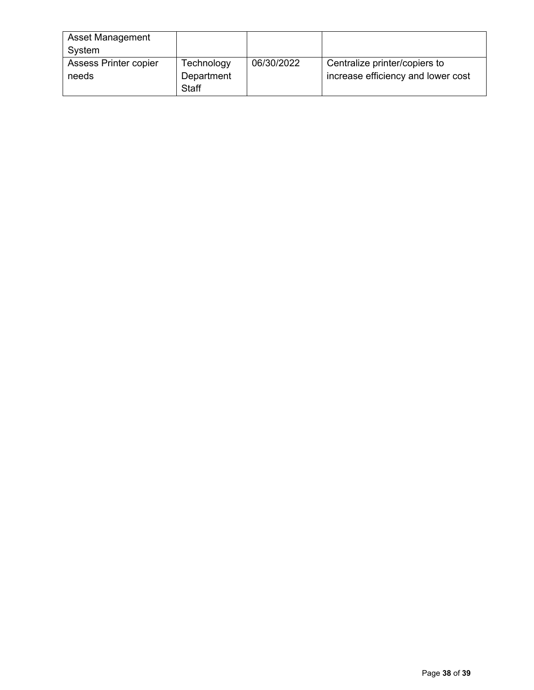| <b>Asset Management</b> |            |            |                                    |
|-------------------------|------------|------------|------------------------------------|
| System                  |            |            |                                    |
| Assess Printer copier   | Technology | 06/30/2022 | Centralize printer/copiers to      |
| needs                   | Department |            | increase efficiency and lower cost |
|                         | Staff      |            |                                    |